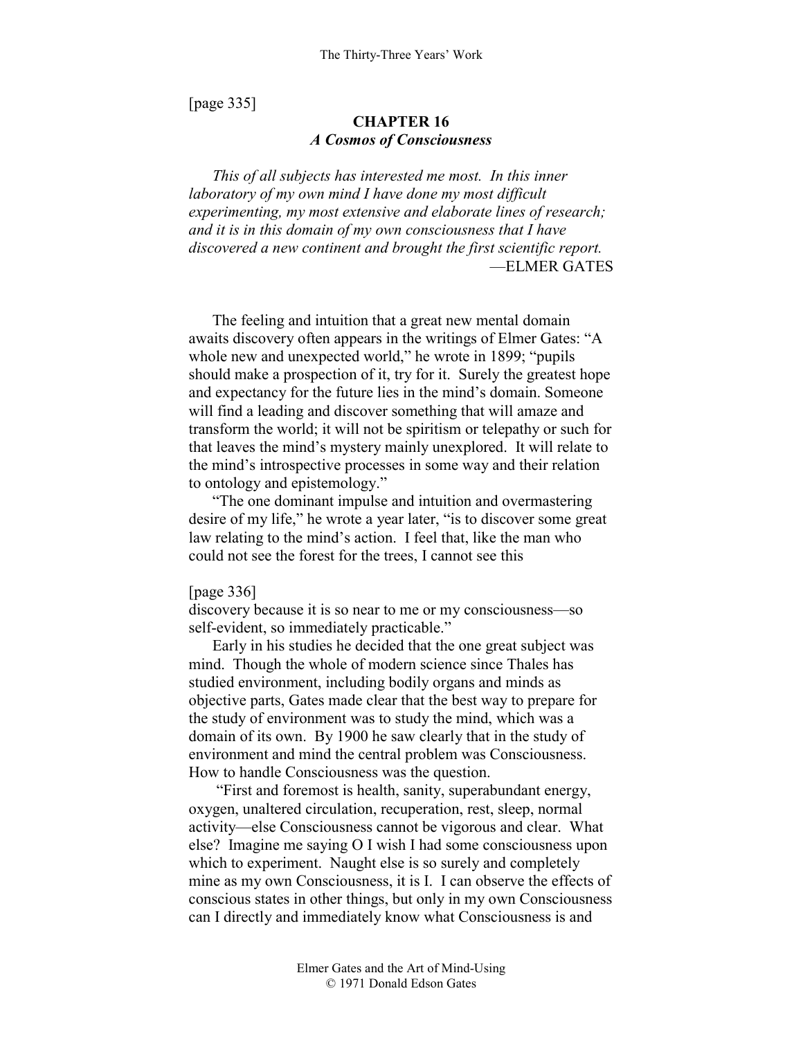[page 335]

# **CHAPTER 16**  *A Cosmos of Consciousness*

*This of all subjects has interested me most. In this inner laboratory of my own mind I have done my most difficult experimenting, my most extensive and elaborate lines of research; and it is in this domain of my own consciousness that I have discovered a new continent and brought the first scientific report.*  —ELMER GATES

The feeling and intuition that a great new mental domain awaits discovery often appears in the writings of Elmer Gates: "A whole new and unexpected world," he wrote in 1899; "pupils should make a prospection of it, try for it. Surely the greatest hope and expectancy for the future lies in the mind's domain. Someone will find a leading and discover something that will amaze and transform the world; it will not be spiritism or telepathy or such for that leaves the mind's mystery mainly unexplored. It will relate to the mind's introspective processes in some way and their relation to ontology and epistemology."

"The one dominant impulse and intuition and overmastering desire of my life," he wrote a year later, "is to discover some great law relating to the mind's action. I feel that, like the man who could not see the forest for the trees, I cannot see this

#### [page 336]

discovery because it is so near to me or my consciousness—so self-evident, so immediately practicable."

Early in his studies he decided that the one great subject was mind. Though the whole of modern science since Thales has studied environment, including bodily organs and minds as objective parts, Gates made clear that the best way to prepare for the study of environment was to study the mind, which was a domain of its own. By 1900 he saw clearly that in the study of environment and mind the central problem was Consciousness. How to handle Consciousness was the question.

 "First and foremost is health, sanity, superabundant energy, oxygen, unaltered circulation, recuperation, rest, sleep, normal activity—else Consciousness cannot be vigorous and clear. What else? Imagine me saying O I wish I had some consciousness upon which to experiment. Naught else is so surely and completely mine as my own Consciousness, it is I. I can observe the effects of conscious states in other things, but only in my own Consciousness can I directly and immediately know what Consciousness is and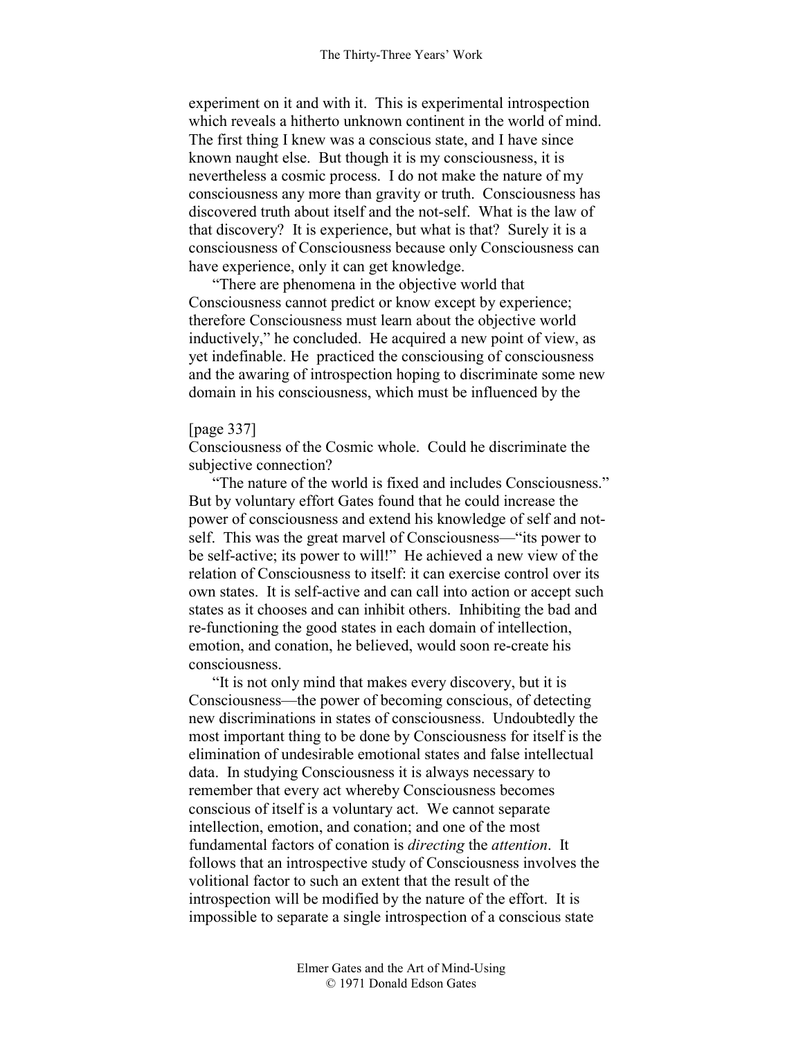experiment on it and with it. This is experimental introspection which reveals a hitherto unknown continent in the world of mind. The first thing I knew was a conscious state, and I have since known naught else. But though it is my consciousness, it is nevertheless a cosmic process. I do not make the nature of my consciousness any more than gravity or truth. Consciousness has discovered truth about itself and the not-self. What is the law of that discovery? It is experience, but what is that? Surely it is a consciousness of Consciousness because only Consciousness can have experience, only it can get knowledge.

"There are phenomena in the objective world that Consciousness cannot predict or know except by experience; therefore Consciousness must learn about the objective world inductively," he concluded. He acquired a new point of view, as yet indefinable. He practiced the consciousing of consciousness and the awaring of introspection hoping to discriminate some new domain in his consciousness, which must be influenced by the

#### [page 337]

Consciousness of the Cosmic whole. Could he discriminate the subjective connection?

"The nature of the world is fixed and includes Consciousness." But by voluntary effort Gates found that he could increase the power of consciousness and extend his knowledge of self and notself. This was the great marvel of Consciousness—"its power to be self-active; its power to will!" He achieved a new view of the relation of Consciousness to itself: it can exercise control over its own states. It is self-active and can call into action or accept such states as it chooses and can inhibit others. Inhibiting the bad and re-functioning the good states in each domain of intellection, emotion, and conation, he believed, would soon re-create his consciousness.

"It is not only mind that makes every discovery, but it is Consciousness—the power of becoming conscious, of detecting new discriminations in states of consciousness. Undoubtedly the most important thing to be done by Consciousness for itself is the elimination of undesirable emotional states and false intellectual data. In studying Consciousness it is always necessary to remember that every act whereby Consciousness becomes conscious of itself is a voluntary act. We cannot separate intellection, emotion, and conation; and one of the most fundamental factors of conation is *directing* the *attention*. It follows that an introspective study of Consciousness involves the volitional factor to such an extent that the result of the introspection will be modified by the nature of the effort. It is impossible to separate a single introspection of a conscious state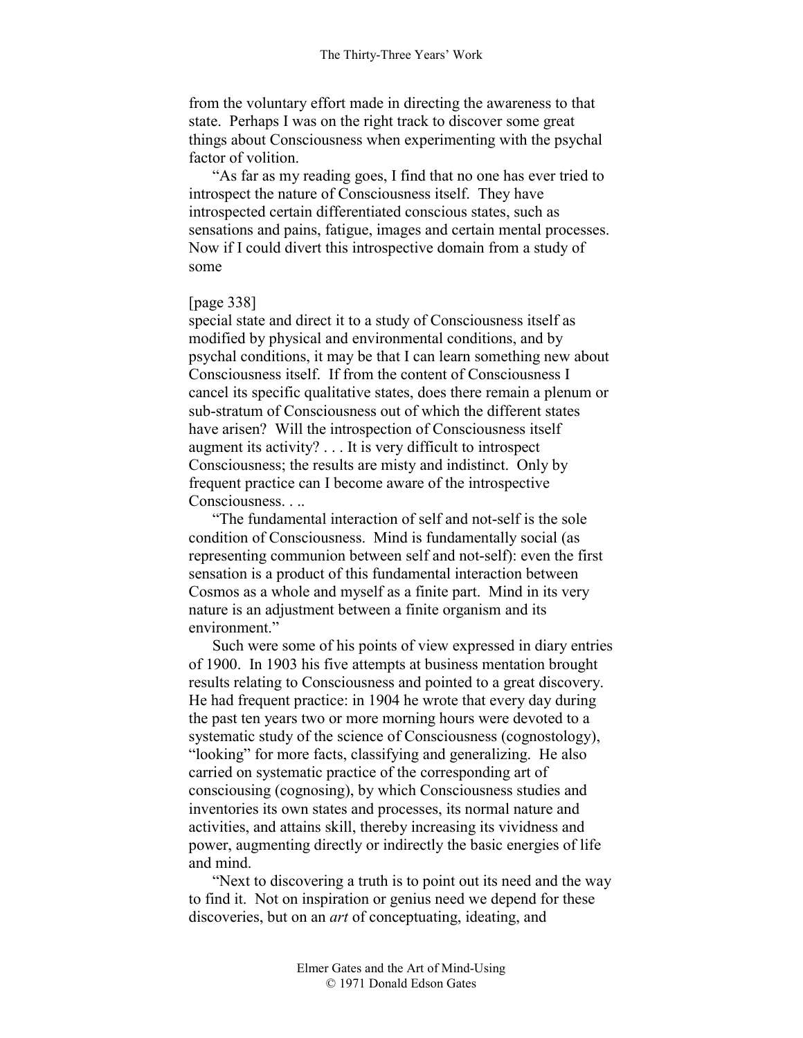from the voluntary effort made in directing the awareness to that state. Perhaps I was on the right track to discover some great things about Consciousness when experimenting with the psychal factor of volition.

"As far as my reading goes, I find that no one has ever tried to introspect the nature of Consciousness itself. They have introspected certain differentiated conscious states, such as sensations and pains, fatigue, images and certain mental processes. Now if I could divert this introspective domain from a study of some

# [page 338]

special state and direct it to a study of Consciousness itself as modified by physical and environmental conditions, and by psychal conditions, it may be that I can learn something new about Consciousness itself. If from the content of Consciousness I cancel its specific qualitative states, does there remain a plenum or sub-stratum of Consciousness out of which the different states have arisen? Will the introspection of Consciousness itself augment its activity? . . . It is very difficult to introspect Consciousness; the results are misty and indistinct. Only by frequent practice can I become aware of the introspective Consciousness. . ..

"The fundamental interaction of self and not-self is the sole condition of Consciousness. Mind is fundamentally social (as representing communion between self and not-self): even the first sensation is a product of this fundamental interaction between Cosmos as a whole and myself as a finite part. Mind in its very nature is an adjustment between a finite organism and its environment."

Such were some of his points of view expressed in diary entries of 1900. In 1903 his five attempts at business mentation brought results relating to Consciousness and pointed to a great discovery. He had frequent practice: in 1904 he wrote that every day during the past ten years two or more morning hours were devoted to a systematic study of the science of Consciousness (cognostology), "looking" for more facts, classifying and generalizing. He also carried on systematic practice of the corresponding art of consciousing (cognosing), by which Consciousness studies and inventories its own states and processes, its normal nature and activities, and attains skill, thereby increasing its vividness and power, augmenting directly or indirectly the basic energies of life and mind.

"Next to discovering a truth is to point out its need and the way to find it. Not on inspiration or genius need we depend for these discoveries, but on an *art* of conceptuating, ideating, and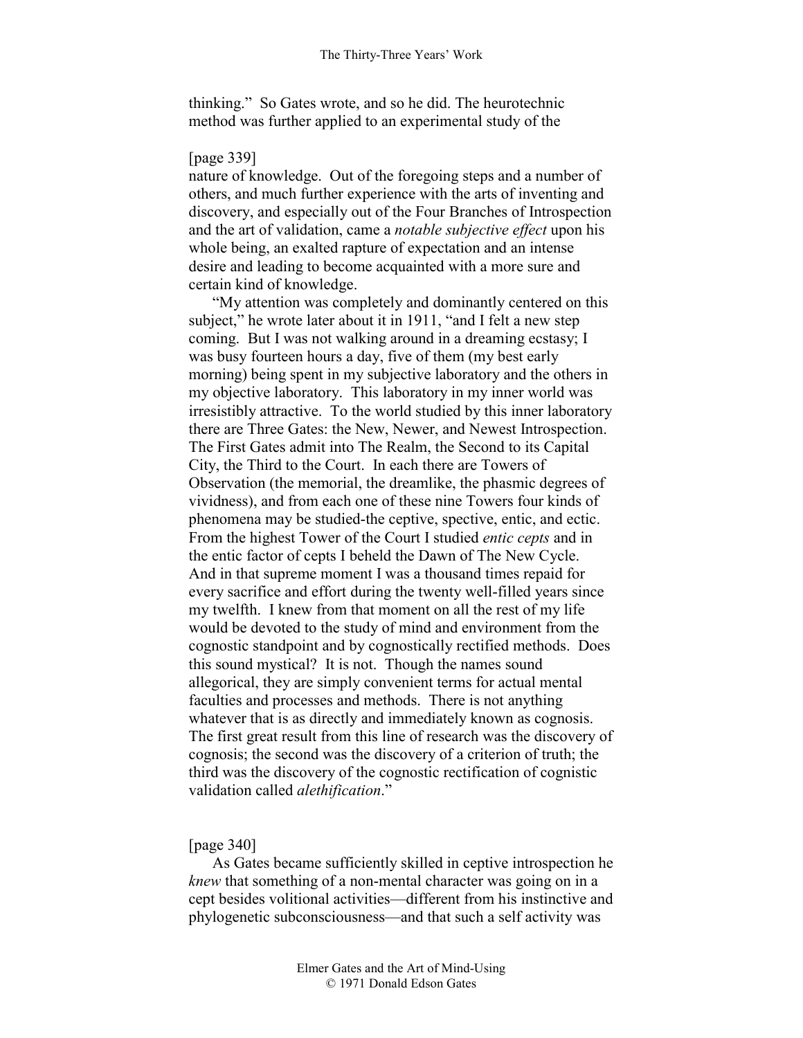thinking." So Gates wrote, and so he did. The heurotechnic method was further applied to an experimental study of the

# [page 339]

nature of knowledge. Out of the foregoing steps and a number of others, and much further experience with the arts of inventing and discovery, and especially out of the Four Branches of Introspection and the art of validation, came a *notable subjective effect* upon his whole being, an exalted rapture of expectation and an intense desire and leading to become acquainted with a more sure and certain kind of knowledge.

"My attention was completely and dominantly centered on this subject," he wrote later about it in 1911, "and I felt a new step coming. But I was not walking around in a dreaming ecstasy; I was busy fourteen hours a day, five of them (my best early morning) being spent in my subjective laboratory and the others in my objective laboratory. This laboratory in my inner world was irresistibly attractive. To the world studied by this inner laboratory there are Three Gates: the New, Newer, and Newest Introspection. The First Gates admit into The Realm, the Second to its Capital City, the Third to the Court. In each there are Towers of Observation (the memorial, the dreamlike, the phasmic degrees of vividness), and from each one of these nine Towers four kinds of phenomena may be studied-the ceptive, spective, entic, and ectic. From the highest Tower of the Court I studied *entic cepts* and in the entic factor of cepts I beheld the Dawn of The New Cycle. And in that supreme moment I was a thousand times repaid for every sacrifice and effort during the twenty well-filled years since my twelfth. I knew from that moment on all the rest of my life would be devoted to the study of mind and environment from the cognostic standpoint and by cognostically rectified methods. Does this sound mystical? It is not. Though the names sound allegorical, they are simply convenient terms for actual mental faculties and processes and methods. There is not anything whatever that is as directly and immediately known as cognosis. The first great result from this line of research was the discovery of cognosis; the second was the discovery of a criterion of truth; the third was the discovery of the cognostic rectification of cognistic validation called *alethification*."

# [page 340]

As Gates became sufficiently skilled in ceptive introspection he *knew* that something of a non-mental character was going on in a cept besides volitional activities—different from his instinctive and phylogenetic subconsciousness—and that such a self activity was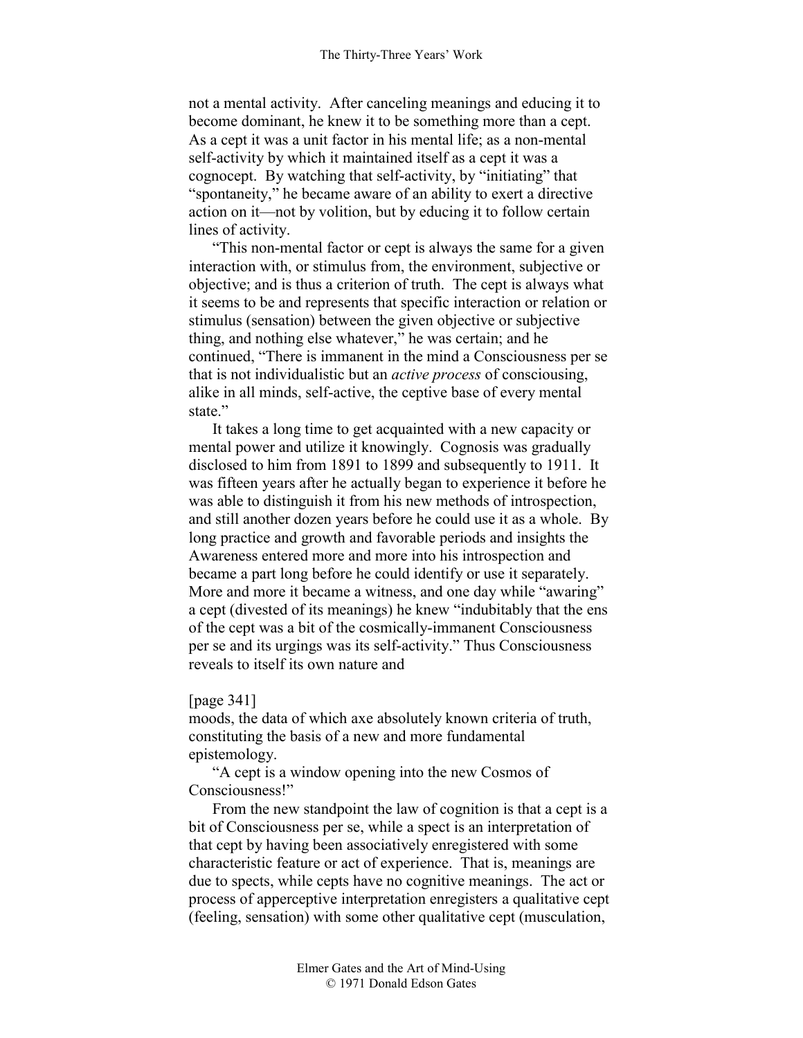not a mental activity. After canceling meanings and educing it to become dominant, he knew it to be something more than a cept. As a cept it was a unit factor in his mental life; as a non-mental self-activity by which it maintained itself as a cept it was a cognocept. By watching that self-activity, by "initiating" that "spontaneity," he became aware of an ability to exert a directive action on it—not by volition, but by educing it to follow certain lines of activity.

"This non-mental factor or cept is always the same for a given interaction with, or stimulus from, the environment, subjective or objective; and is thus a criterion of truth. The cept is always what it seems to be and represents that specific interaction or relation or stimulus (sensation) between the given objective or subjective thing, and nothing else whatever," he was certain; and he continued, "There is immanent in the mind a Consciousness per se that is not individualistic but an *active process* of consciousing, alike in all minds, self-active, the ceptive base of every mental state."

It takes a long time to get acquainted with a new capacity or mental power and utilize it knowingly. Cognosis was gradually disclosed to him from 1891 to 1899 and subsequently to 1911. It was fifteen years after he actually began to experience it before he was able to distinguish it from his new methods of introspection, and still another dozen years before he could use it as a whole. By long practice and growth and favorable periods and insights the Awareness entered more and more into his introspection and became a part long before he could identify or use it separately. More and more it became a witness, and one day while "awaring" a cept (divested of its meanings) he knew "indubitably that the ens of the cept was a bit of the cosmically-immanent Consciousness per se and its urgings was its self-activity." Thus Consciousness reveals to itself its own nature and

## [page 341]

moods, the data of which axe absolutely known criteria of truth, constituting the basis of a new and more fundamental epistemology.

"A cept is a window opening into the new Cosmos of Consciousness!"

From the new standpoint the law of cognition is that a cept is a bit of Consciousness per se, while a spect is an interpretation of that cept by having been associatively enregistered with some characteristic feature or act of experience. That is, meanings are due to spects, while cepts have no cognitive meanings. The act or process of apperceptive interpretation enregisters a qualitative cept (feeling, sensation) with some other qualitative cept (musculation,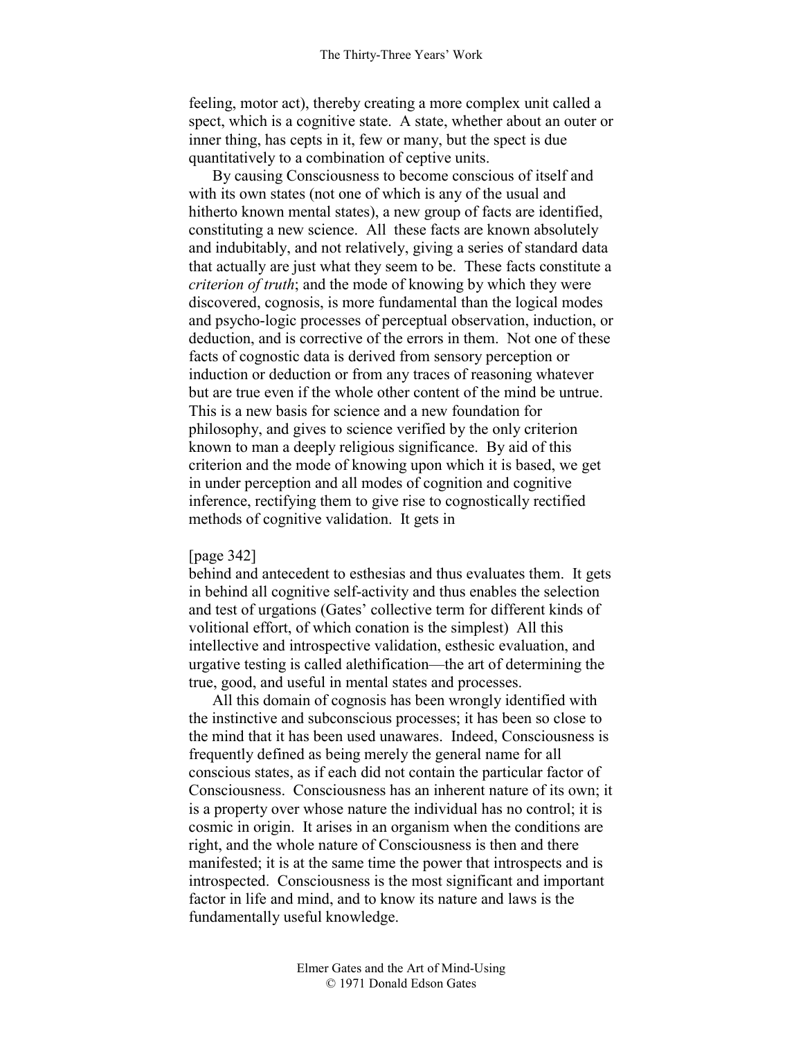feeling, motor act), thereby creating a more complex unit called a spect, which is a cognitive state. A state, whether about an outer or inner thing, has cepts in it, few or many, but the spect is due quantitatively to a combination of ceptive units.

By causing Consciousness to become conscious of itself and with its own states (not one of which is any of the usual and hitherto known mental states), a new group of facts are identified, constituting a new science. All these facts are known absolutely and indubitably, and not relatively, giving a series of standard data that actually are just what they seem to be. These facts constitute a *criterion of truth*; and the mode of knowing by which they were discovered, cognosis, is more fundamental than the logical modes and psycho-logic processes of perceptual observation, induction, or deduction, and is corrective of the errors in them. Not one of these facts of cognostic data is derived from sensory perception or induction or deduction or from any traces of reasoning whatever but are true even if the whole other content of the mind be untrue. This is a new basis for science and a new foundation for philosophy, and gives to science verified by the only criterion known to man a deeply religious significance. By aid of this criterion and the mode of knowing upon which it is based, we get in under perception and all modes of cognition and cognitive inference, rectifying them to give rise to cognostically rectified methods of cognitive validation. It gets in

## [page 342]

behind and antecedent to esthesias and thus evaluates them. It gets in behind all cognitive self-activity and thus enables the selection and test of urgations (Gates' collective term for different kinds of volitional effort, of which conation is the simplest) All this intellective and introspective validation, esthesic evaluation, and urgative testing is called alethification—the art of determining the true, good, and useful in mental states and processes.

All this domain of cognosis has been wrongly identified with the instinctive and subconscious processes; it has been so close to the mind that it has been used unawares. Indeed, Consciousness is frequently defined as being merely the general name for all conscious states, as if each did not contain the particular factor of Consciousness. Consciousness has an inherent nature of its own; it is a property over whose nature the individual has no control; it is cosmic in origin. It arises in an organism when the conditions are right, and the whole nature of Consciousness is then and there manifested; it is at the same time the power that introspects and is introspected. Consciousness is the most significant and important factor in life and mind, and to know its nature and laws is the fundamentally useful knowledge.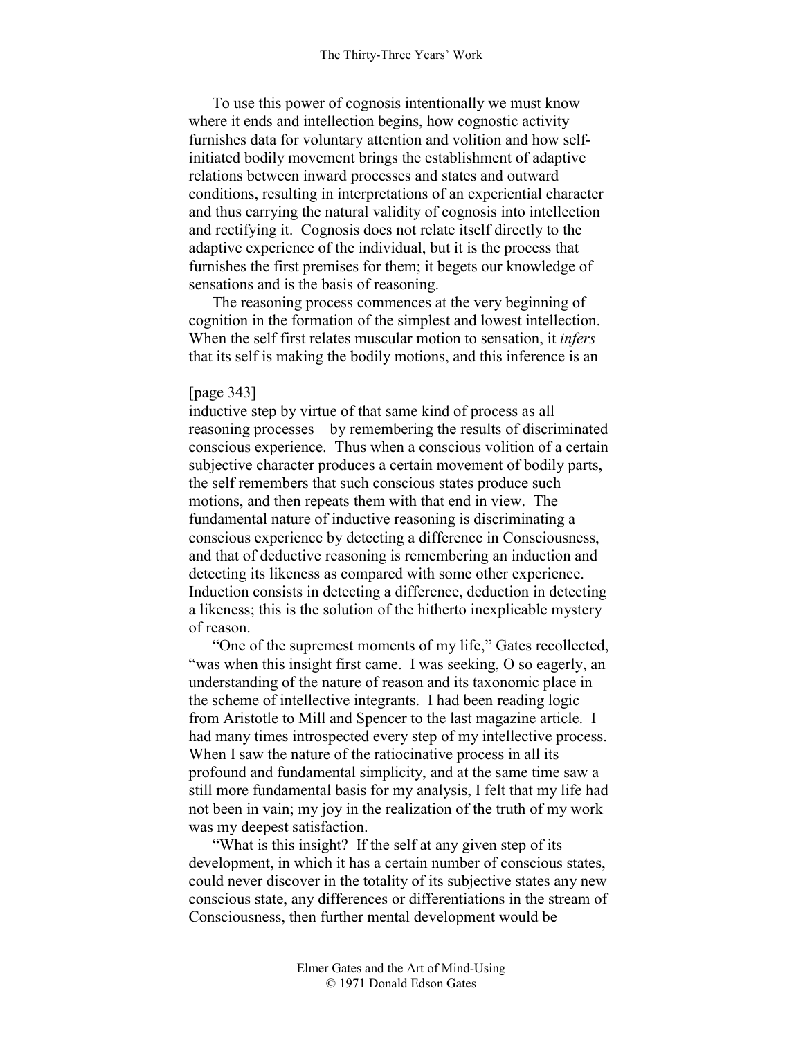To use this power of cognosis intentionally we must know where it ends and intellection begins, how cognostic activity furnishes data for voluntary attention and volition and how selfinitiated bodily movement brings the establishment of adaptive relations between inward processes and states and outward conditions, resulting in interpretations of an experiential character and thus carrying the natural validity of cognosis into intellection and rectifying it. Cognosis does not relate itself directly to the adaptive experience of the individual, but it is the process that furnishes the first premises for them; it begets our knowledge of sensations and is the basis of reasoning.

The reasoning process commences at the very beginning of cognition in the formation of the simplest and lowest intellection. When the self first relates muscular motion to sensation, it *infers* that its self is making the bodily motions, and this inference is an

#### [page 343]

inductive step by virtue of that same kind of process as all reasoning processes—by remembering the results of discriminated conscious experience. Thus when a conscious volition of a certain subjective character produces a certain movement of bodily parts, the self remembers that such conscious states produce such motions, and then repeats them with that end in view. The fundamental nature of inductive reasoning is discriminating a conscious experience by detecting a difference in Consciousness, and that of deductive reasoning is remembering an induction and detecting its likeness as compared with some other experience. Induction consists in detecting a difference, deduction in detecting a likeness; this is the solution of the hitherto inexplicable mystery of reason.

"One of the supremest moments of my life," Gates recollected, "was when this insight first came. I was seeking, O so eagerly, an understanding of the nature of reason and its taxonomic place in the scheme of intellective integrants. I had been reading logic from Aristotle to Mill and Spencer to the last magazine article. I had many times introspected every step of my intellective process. When I saw the nature of the ratiocinative process in all its profound and fundamental simplicity, and at the same time saw a still more fundamental basis for my analysis, I felt that my life had not been in vain; my joy in the realization of the truth of my work was my deepest satisfaction.

"What is this insight? If the self at any given step of its development, in which it has a certain number of conscious states, could never discover in the totality of its subjective states any new conscious state, any differences or differentiations in the stream of Consciousness, then further mental development would be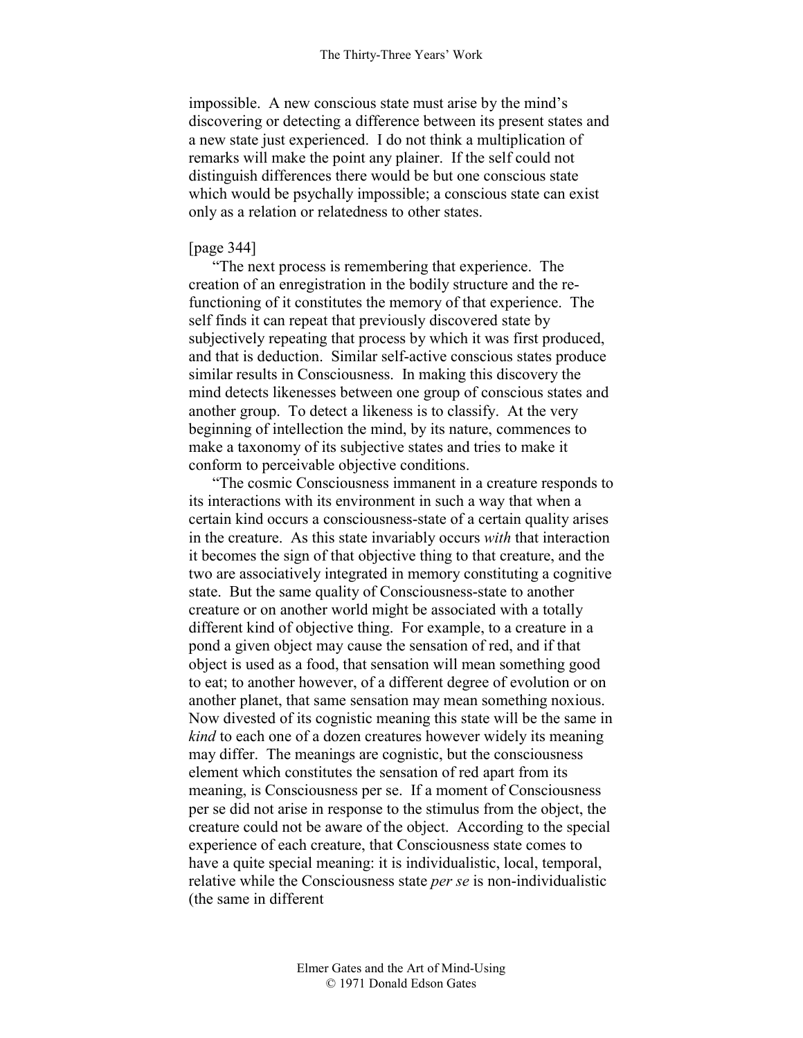impossible. A new conscious state must arise by the mind's discovering or detecting a difference between its present states and a new state just experienced. I do not think a multiplication of remarks will make the point any plainer. If the self could not distinguish differences there would be but one conscious state which would be psychally impossible; a conscious state can exist only as a relation or relatedness to other states.

## [page 344]

"The next process is remembering that experience. The creation of an enregistration in the bodily structure and the refunctioning of it constitutes the memory of that experience. The self finds it can repeat that previously discovered state by subjectively repeating that process by which it was first produced, and that is deduction. Similar self-active conscious states produce similar results in Consciousness. In making this discovery the mind detects likenesses between one group of conscious states and another group. To detect a likeness is to classify. At the very beginning of intellection the mind, by its nature, commences to make a taxonomy of its subjective states and tries to make it conform to perceivable objective conditions.

"The cosmic Consciousness immanent in a creature responds to its interactions with its environment in such a way that when a certain kind occurs a consciousness-state of a certain quality arises in the creature. As this state invariably occurs *with* that interaction it becomes the sign of that objective thing to that creature, and the two are associatively integrated in memory constituting a cognitive state. But the same quality of Consciousness-state to another creature or on another world might be associated with a totally different kind of objective thing. For example, to a creature in a pond a given object may cause the sensation of red, and if that object is used as a food, that sensation will mean something good to eat; to another however, of a different degree of evolution or on another planet, that same sensation may mean something noxious. Now divested of its cognistic meaning this state will be the same in *kind* to each one of a dozen creatures however widely its meaning may differ. The meanings are cognistic, but the consciousness element which constitutes the sensation of red apart from its meaning, is Consciousness per se. If a moment of Consciousness per se did not arise in response to the stimulus from the object, the creature could not be aware of the object. According to the special experience of each creature, that Consciousness state comes to have a quite special meaning: it is individualistic, local, temporal, relative while the Consciousness state *per se* is non-individualistic (the same in different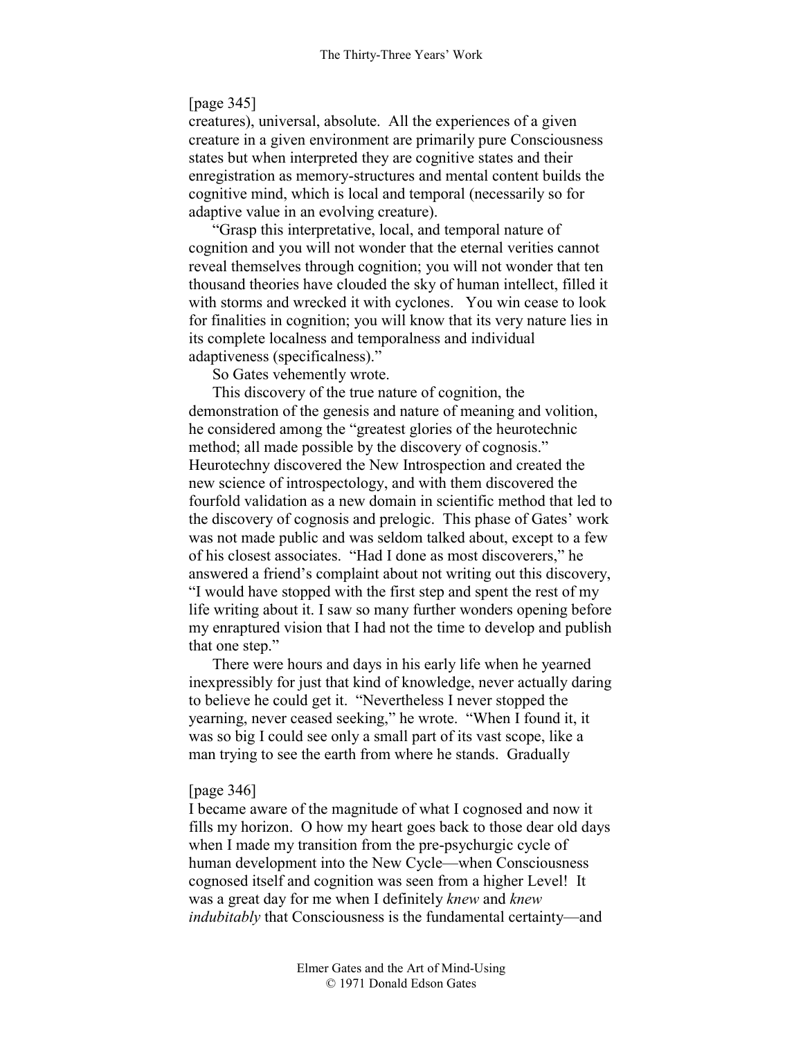# [page 345]

creatures), universal, absolute. All the experiences of a given creature in a given environment are primarily pure Consciousness states but when interpreted they are cognitive states and their enregistration as memory-structures and mental content builds the cognitive mind, which is local and temporal (necessarily so for adaptive value in an evolving creature).

"Grasp this interpretative, local, and temporal nature of cognition and you will not wonder that the eternal verities cannot reveal themselves through cognition; you will not wonder that ten thousand theories have clouded the sky of human intellect, filled it with storms and wrecked it with cyclones. You win cease to look for finalities in cognition; you will know that its very nature lies in its complete localness and temporalness and individual adaptiveness (specificalness)."

So Gates vehemently wrote.

This discovery of the true nature of cognition, the demonstration of the genesis and nature of meaning and volition, he considered among the "greatest glories of the heurotechnic method; all made possible by the discovery of cognosis." Heurotechny discovered the New Introspection and created the new science of introspectology, and with them discovered the fourfold validation as a new domain in scientific method that led to the discovery of cognosis and prelogic. This phase of Gates' work was not made public and was seldom talked about, except to a few of his closest associates. "Had I done as most discoverers," he answered a friend's complaint about not writing out this discovery, "I would have stopped with the first step and spent the rest of my life writing about it. I saw so many further wonders opening before my enraptured vision that I had not the time to develop and publish that one step."

There were hours and days in his early life when he yearned inexpressibly for just that kind of knowledge, never actually daring to believe he could get it. "Nevertheless I never stopped the yearning, never ceased seeking," he wrote. "When I found it, it was so big I could see only a small part of its vast scope, like a man trying to see the earth from where he stands. Gradually

#### [page 346]

I became aware of the magnitude of what I cognosed and now it fills my horizon. O how my heart goes back to those dear old days when I made my transition from the pre-psychurgic cycle of human development into the New Cycle—when Consciousness cognosed itself and cognition was seen from a higher Level! It was a great day for me when I definitely *knew* and *knew indubitably* that Consciousness is the fundamental certainty—and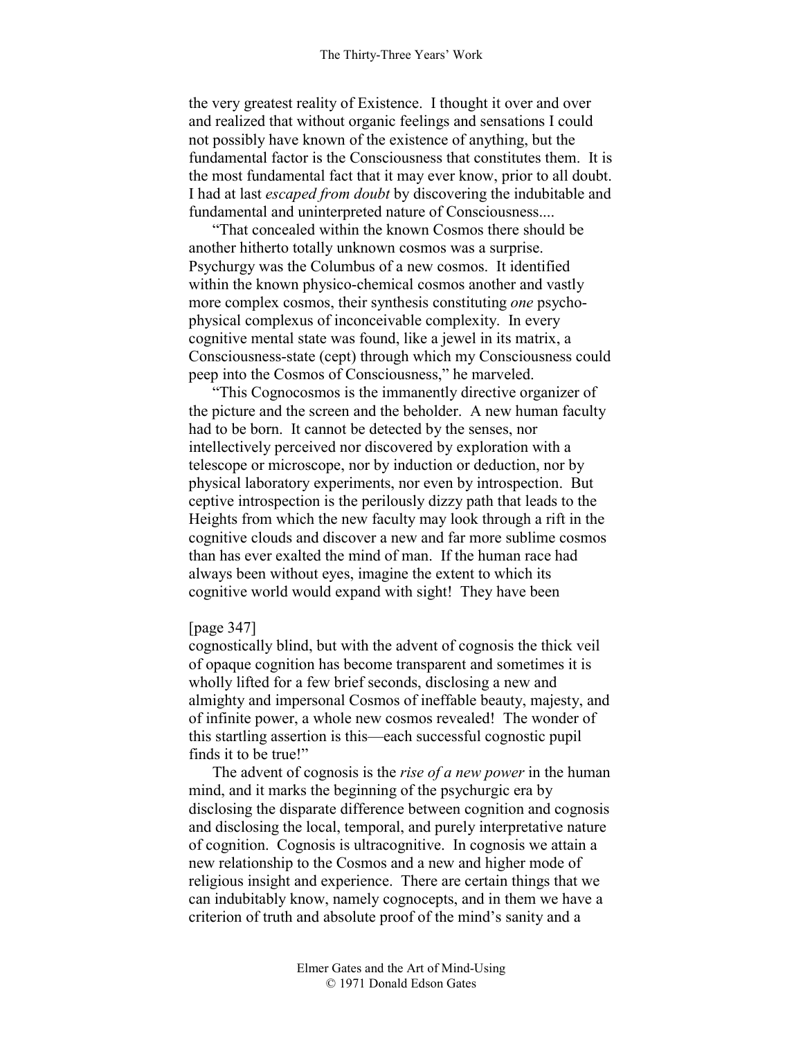the very greatest reality of Existence. I thought it over and over and realized that without organic feelings and sensations I could not possibly have known of the existence of anything, but the fundamental factor is the Consciousness that constitutes them. It is the most fundamental fact that it may ever know, prior to all doubt. I had at last *escaped from doubt* by discovering the indubitable and fundamental and uninterpreted nature of Consciousness....

"That concealed within the known Cosmos there should be another hitherto totally unknown cosmos was a surprise. Psychurgy was the Columbus of a new cosmos. It identified within the known physico-chemical cosmos another and vastly more complex cosmos, their synthesis constituting *one* psychophysical complexus of inconceivable complexity. In every cognitive mental state was found, like a jewel in its matrix, a Consciousness-state (cept) through which my Consciousness could peep into the Cosmos of Consciousness," he marveled.

"This Cognocosmos is the immanently directive organizer of the picture and the screen and the beholder. A new human faculty had to be born. It cannot be detected by the senses, nor intellectively perceived nor discovered by exploration with a telescope or microscope, nor by induction or deduction, nor by physical laboratory experiments, nor even by introspection. But ceptive introspection is the perilously dizzy path that leads to the Heights from which the new faculty may look through a rift in the cognitive clouds and discover a new and far more sublime cosmos than has ever exalted the mind of man. If the human race had always been without eyes, imagine the extent to which its cognitive world would expand with sight! They have been

## [page 347]

cognostically blind, but with the advent of cognosis the thick veil of opaque cognition has become transparent and sometimes it is wholly lifted for a few brief seconds, disclosing a new and almighty and impersonal Cosmos of ineffable beauty, majesty, and of infinite power, a whole new cosmos revealed! The wonder of this startling assertion is this—each successful cognostic pupil finds it to be true!"

The advent of cognosis is the *rise of a new power* in the human mind, and it marks the beginning of the psychurgic era by disclosing the disparate difference between cognition and cognosis and disclosing the local, temporal, and purely interpretative nature of cognition. Cognosis is ultracognitive. In cognosis we attain a new relationship to the Cosmos and a new and higher mode of religious insight and experience. There are certain things that we can indubitably know, namely cognocepts, and in them we have a criterion of truth and absolute proof of the mind's sanity and a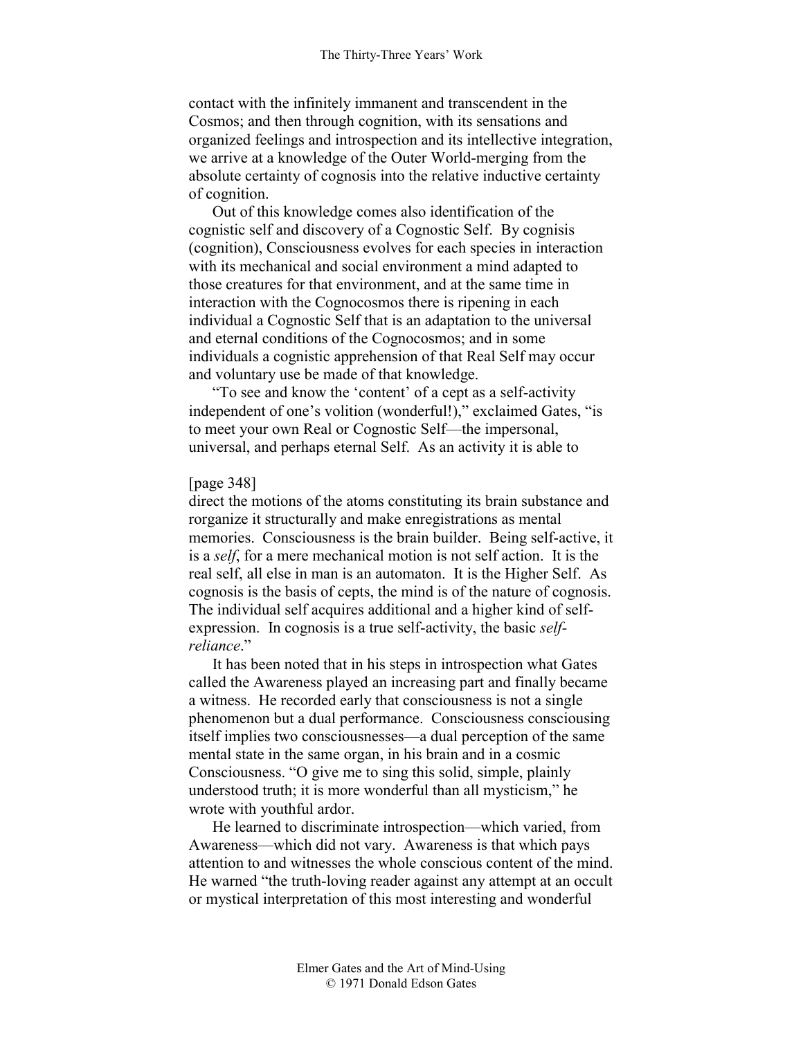contact with the infinitely immanent and transcendent in the Cosmos; and then through cognition, with its sensations and organized feelings and introspection and its intellective integration, we arrive at a knowledge of the Outer World-merging from the absolute certainty of cognosis into the relative inductive certainty of cognition.

Out of this knowledge comes also identification of the cognistic self and discovery of a Cognostic Self. By cognisis (cognition), Consciousness evolves for each species in interaction with its mechanical and social environment a mind adapted to those creatures for that environment, and at the same time in interaction with the Cognocosmos there is ripening in each individual a Cognostic Self that is an adaptation to the universal and eternal conditions of the Cognocosmos; and in some individuals a cognistic apprehension of that Real Self may occur and voluntary use be made of that knowledge.

"To see and know the 'content' of a cept as a self-activity independent of one's volition (wonderful!)," exclaimed Gates, "is to meet your own Real or Cognostic Self—the impersonal, universal, and perhaps eternal Self. As an activity it is able to

### [page 348]

direct the motions of the atoms constituting its brain substance and rorganize it structurally and make enregistrations as mental memories. Consciousness is the brain builder. Being self-active, it is a *self*, for a mere mechanical motion is not self action. It is the real self, all else in man is an automaton. It is the Higher Self. As cognosis is the basis of cepts, the mind is of the nature of cognosis. The individual self acquires additional and a higher kind of selfexpression. In cognosis is a true self-activity, the basic *selfreliance*."

It has been noted that in his steps in introspection what Gates called the Awareness played an increasing part and finally became a witness. He recorded early that consciousness is not a single phenomenon but a dual performance. Consciousness consciousing itself implies two consciousnesses—a dual perception of the same mental state in the same organ, in his brain and in a cosmic Consciousness. "O give me to sing this solid, simple, plainly understood truth; it is more wonderful than all mysticism," he wrote with youthful ardor.

He learned to discriminate introspection—which varied, from Awareness—which did not vary. Awareness is that which pays attention to and witnesses the whole conscious content of the mind. He warned "the truth-loving reader against any attempt at an occult or mystical interpretation of this most interesting and wonderful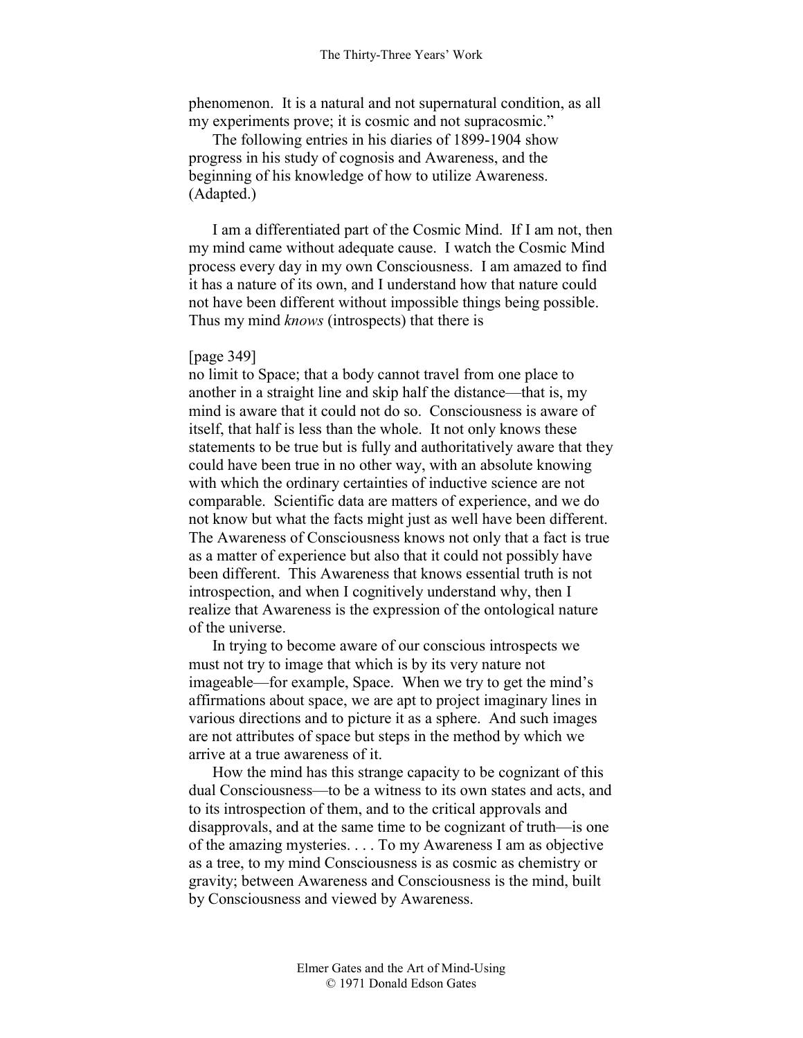phenomenon. It is a natural and not supernatural condition, as all my experiments prove; it is cosmic and not supracosmic."

The following entries in his diaries of 1899-1904 show progress in his study of cognosis and Awareness, and the beginning of his knowledge of how to utilize Awareness. (Adapted.)

I am a differentiated part of the Cosmic Mind. If I am not, then my mind came without adequate cause. I watch the Cosmic Mind process every day in my own Consciousness. I am amazed to find it has a nature of its own, and I understand how that nature could not have been different without impossible things being possible. Thus my mind *knows* (introspects) that there is

#### [page 349]

no limit to Space; that a body cannot travel from one place to another in a straight line and skip half the distance—that is, my mind is aware that it could not do so. Consciousness is aware of itself, that half is less than the whole. It not only knows these statements to be true but is fully and authoritatively aware that they could have been true in no other way, with an absolute knowing with which the ordinary certainties of inductive science are not comparable. Scientific data are matters of experience, and we do not know but what the facts might just as well have been different. The Awareness of Consciousness knows not only that a fact is true as a matter of experience but also that it could not possibly have been different. This Awareness that knows essential truth is not introspection, and when I cognitively understand why, then I realize that Awareness is the expression of the ontological nature of the universe.

In trying to become aware of our conscious introspects we must not try to image that which is by its very nature not imageable—for example, Space. When we try to get the mind's affirmations about space, we are apt to project imaginary lines in various directions and to picture it as a sphere. And such images are not attributes of space but steps in the method by which we arrive at a true awareness of it.

How the mind has this strange capacity to be cognizant of this dual Consciousness—to be a witness to its own states and acts, and to its introspection of them, and to the critical approvals and disapprovals, and at the same time to be cognizant of truth—is one of the amazing mysteries. . . . To my Awareness I am as objective as a tree, to my mind Consciousness is as cosmic as chemistry or gravity; between Awareness and Consciousness is the mind, built by Consciousness and viewed by Awareness.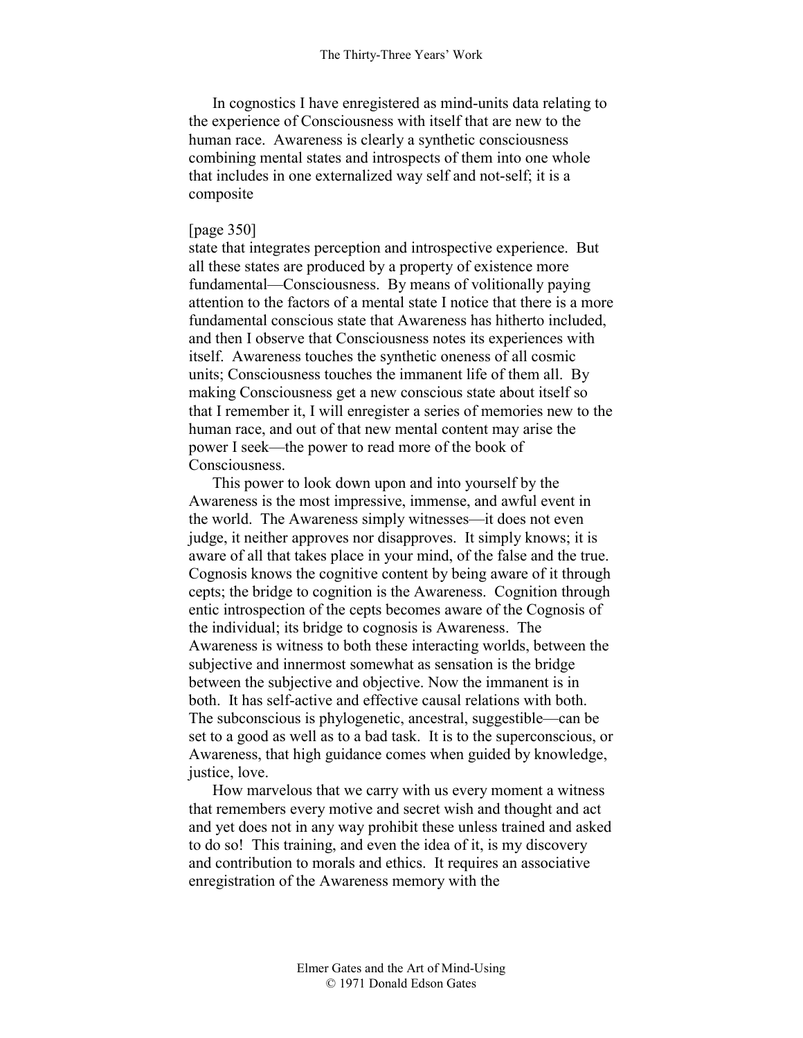In cognostics I have enregistered as mind-units data relating to the experience of Consciousness with itself that are new to the human race. Awareness is clearly a synthetic consciousness combining mental states and introspects of them into one whole that includes in one externalized way self and not-self; it is a composite

# [page 350]

state that integrates perception and introspective experience. But all these states are produced by a property of existence more fundamental—Consciousness. By means of volitionally paying attention to the factors of a mental state I notice that there is a more fundamental conscious state that Awareness has hitherto included, and then I observe that Consciousness notes its experiences with itself. Awareness touches the synthetic oneness of all cosmic units; Consciousness touches the immanent life of them all. By making Consciousness get a new conscious state about itself so that I remember it, I will enregister a series of memories new to the human race, and out of that new mental content may arise the power I seek—the power to read more of the book of Consciousness.

This power to look down upon and into yourself by the Awareness is the most impressive, immense, and awful event in the world. The Awareness simply witnesses—it does not even judge, it neither approves nor disapproves. It simply knows; it is aware of all that takes place in your mind, of the false and the true. Cognosis knows the cognitive content by being aware of it through cepts; the bridge to cognition is the Awareness. Cognition through entic introspection of the cepts becomes aware of the Cognosis of the individual; its bridge to cognosis is Awareness. The Awareness is witness to both these interacting worlds, between the subjective and innermost somewhat as sensation is the bridge between the subjective and objective. Now the immanent is in both. It has self-active and effective causal relations with both. The subconscious is phylogenetic, ancestral, suggestible—can be set to a good as well as to a bad task. It is to the superconscious, or Awareness, that high guidance comes when guided by knowledge, justice, love.

How marvelous that we carry with us every moment a witness that remembers every motive and secret wish and thought and act and yet does not in any way prohibit these unless trained and asked to do so! This training, and even the idea of it, is my discovery and contribution to morals and ethics. It requires an associative enregistration of the Awareness memory with the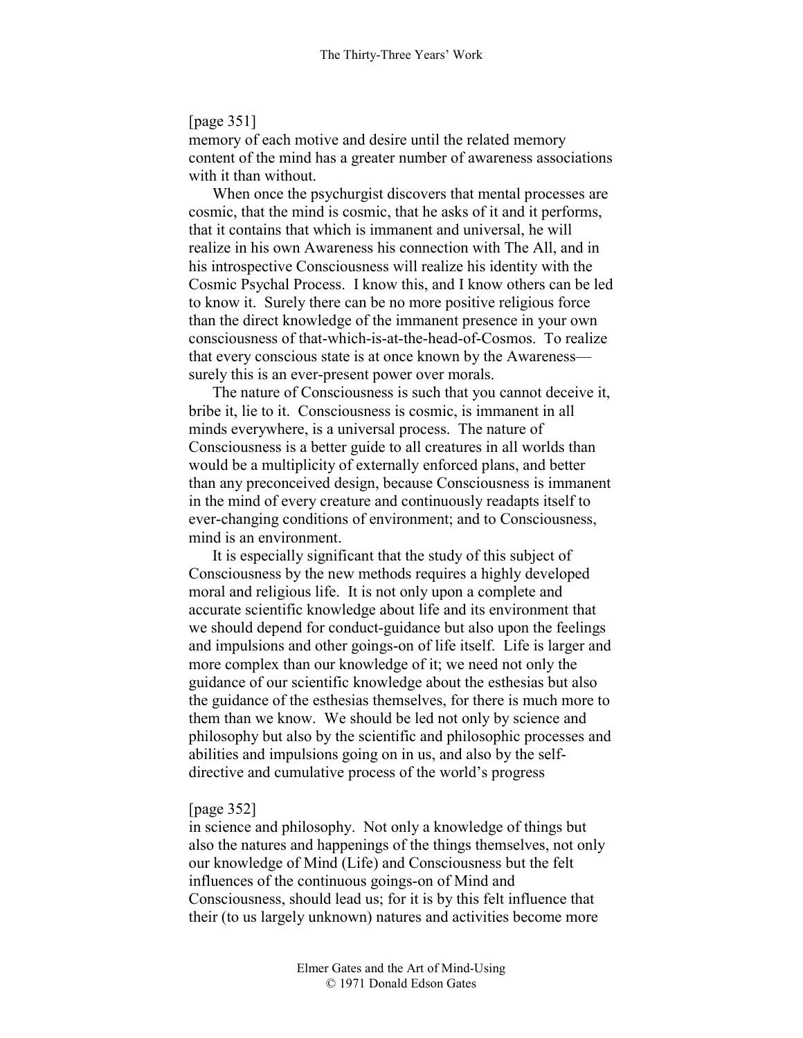# [page 351]

memory of each motive and desire until the related memory content of the mind has a greater number of awareness associations with it than without.

When once the psychurgist discovers that mental processes are cosmic, that the mind is cosmic, that he asks of it and it performs, that it contains that which is immanent and universal, he will realize in his own Awareness his connection with The All, and in his introspective Consciousness will realize his identity with the Cosmic Psychal Process. I know this, and I know others can be led to know it. Surely there can be no more positive religious force than the direct knowledge of the immanent presence in your own consciousness of that-which-is-at-the-head-of-Cosmos. To realize that every conscious state is at once known by the Awareness surely this is an ever-present power over morals.

The nature of Consciousness is such that you cannot deceive it, bribe it, lie to it. Consciousness is cosmic, is immanent in all minds everywhere, is a universal process. The nature of Consciousness is a better guide to all creatures in all worlds than would be a multiplicity of externally enforced plans, and better than any preconceived design, because Consciousness is immanent in the mind of every creature and continuously readapts itself to ever-changing conditions of environment; and to Consciousness, mind is an environment.

It is especially significant that the study of this subject of Consciousness by the new methods requires a highly developed moral and religious life. It is not only upon a complete and accurate scientific knowledge about life and its environment that we should depend for conduct-guidance but also upon the feelings and impulsions and other goings-on of life itself. Life is larger and more complex than our knowledge of it; we need not only the guidance of our scientific knowledge about the esthesias but also the guidance of the esthesias themselves, for there is much more to them than we know. We should be led not only by science and philosophy but also by the scientific and philosophic processes and abilities and impulsions going on in us, and also by the selfdirective and cumulative process of the world's progress

#### [page 352]

in science and philosophy. Not only a knowledge of things but also the natures and happenings of the things themselves, not only our knowledge of Mind (Life) and Consciousness but the felt influences of the continuous goings-on of Mind and Consciousness, should lead us; for it is by this felt influence that their (to us largely unknown) natures and activities become more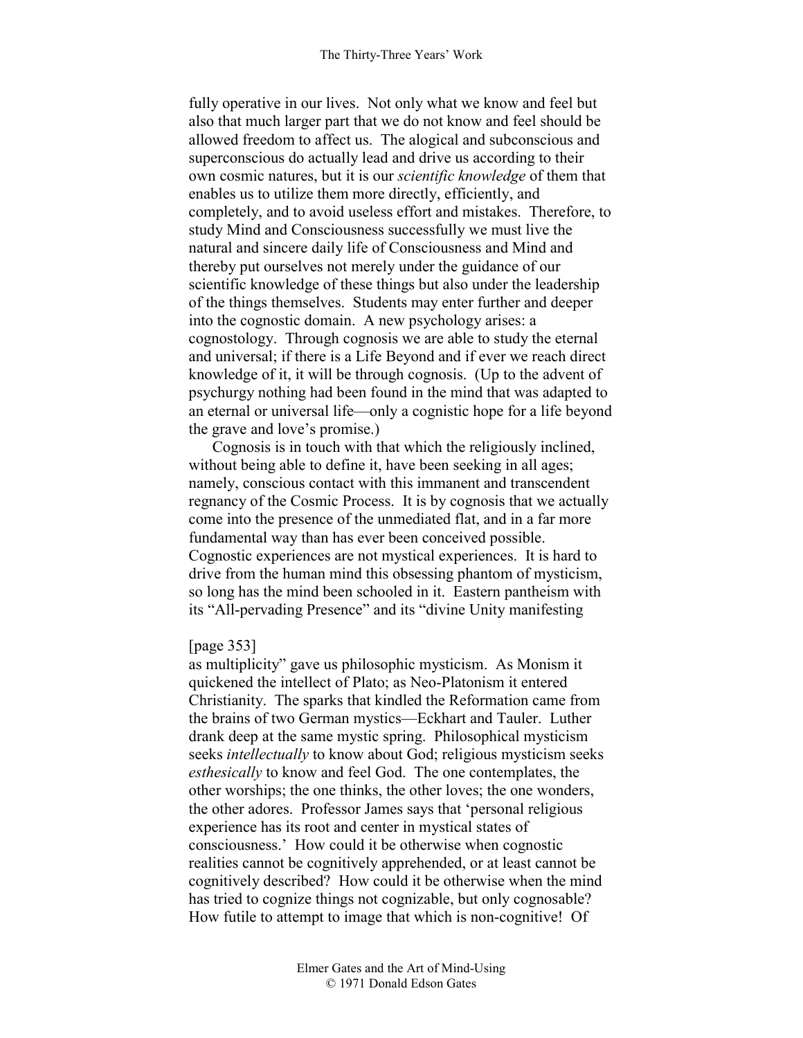fully operative in our lives. Not only what we know and feel but also that much larger part that we do not know and feel should be allowed freedom to affect us. The alogical and subconscious and superconscious do actually lead and drive us according to their own cosmic natures, but it is our *scientific knowledge* of them that enables us to utilize them more directly, efficiently, and completely, and to avoid useless effort and mistakes. Therefore, to study Mind and Consciousness successfully we must live the natural and sincere daily life of Consciousness and Mind and thereby put ourselves not merely under the guidance of our scientific knowledge of these things but also under the leadership of the things themselves. Students may enter further and deeper into the cognostic domain. A new psychology arises: a cognostology. Through cognosis we are able to study the eternal and universal; if there is a Life Beyond and if ever we reach direct knowledge of it, it will be through cognosis. (Up to the advent of psychurgy nothing had been found in the mind that was adapted to an eternal or universal life—only a cognistic hope for a life beyond the grave and love's promise.)

Cognosis is in touch with that which the religiously inclined, without being able to define it, have been seeking in all ages; namely, conscious contact with this immanent and transcendent regnancy of the Cosmic Process. It is by cognosis that we actually come into the presence of the unmediated flat, and in a far more fundamental way than has ever been conceived possible. Cognostic experiences are not mystical experiences. It is hard to drive from the human mind this obsessing phantom of mysticism, so long has the mind been schooled in it. Eastern pantheism with its "All-pervading Presence" and its "divine Unity manifesting

### [page 353]

as multiplicity" gave us philosophic mysticism. As Monism it quickened the intellect of Plato; as Neo-Platonism it entered Christianity. The sparks that kindled the Reformation came from the brains of two German mystics—Eckhart and Tauler. Luther drank deep at the same mystic spring. Philosophical mysticism seeks *intellectually* to know about God; religious mysticism seeks *esthesically* to know and feel God. The one contemplates, the other worships; the one thinks, the other loves; the one wonders, the other adores. Professor James says that 'personal religious experience has its root and center in mystical states of consciousness.' How could it be otherwise when cognostic realities cannot be cognitively apprehended, or at least cannot be cognitively described? How could it be otherwise when the mind has tried to cognize things not cognizable, but only cognosable? How futile to attempt to image that which is non-cognitive! Of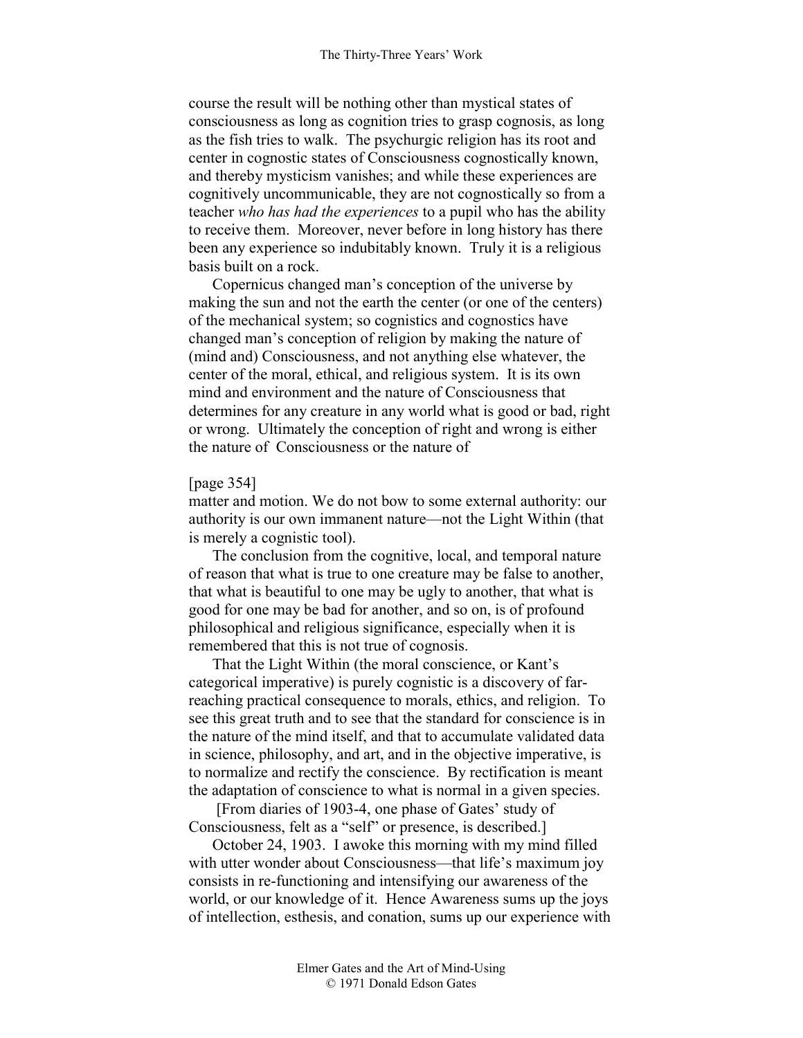course the result will be nothing other than mystical states of consciousness as long as cognition tries to grasp cognosis, as long as the fish tries to walk. The psychurgic religion has its root and center in cognostic states of Consciousness cognostically known, and thereby mysticism vanishes; and while these experiences are cognitively uncommunicable, they are not cognostically so from a teacher *who has had the experiences* to a pupil who has the ability to receive them. Moreover, never before in long history has there been any experience so indubitably known. Truly it is a religious basis built on a rock.

Copernicus changed man's conception of the universe by making the sun and not the earth the center (or one of the centers) of the mechanical system; so cognistics and cognostics have changed man's conception of religion by making the nature of (mind and) Consciousness, and not anything else whatever, the center of the moral, ethical, and religious system. It is its own mind and environment and the nature of Consciousness that determines for any creature in any world what is good or bad, right or wrong. Ultimately the conception of right and wrong is either the nature of Consciousness or the nature of

## [page 354]

matter and motion. We do not bow to some external authority: our authority is our own immanent nature—not the Light Within (that is merely a cognistic tool).

The conclusion from the cognitive, local, and temporal nature of reason that what is true to one creature may be false to another, that what is beautiful to one may be ugly to another, that what is good for one may be bad for another, and so on, is of profound philosophical and religious significance, especially when it is remembered that this is not true of cognosis.

That the Light Within (the moral conscience, or Kant's categorical imperative) is purely cognistic is a discovery of farreaching practical consequence to morals, ethics, and religion. To see this great truth and to see that the standard for conscience is in the nature of the mind itself, and that to accumulate validated data in science, philosophy, and art, and in the objective imperative, is to normalize and rectify the conscience. By rectification is meant the adaptation of conscience to what is normal in a given species.

 [From diaries of 1903-4, one phase of Gates' study of Consciousness, felt as a "self" or presence, is described.]

October 24, 1903. I awoke this morning with my mind filled with utter wonder about Consciousness—that life's maximum joy consists in re-functioning and intensifying our awareness of the world, or our knowledge of it. Hence Awareness sums up the joys of intellection, esthesis, and conation, sums up our experience with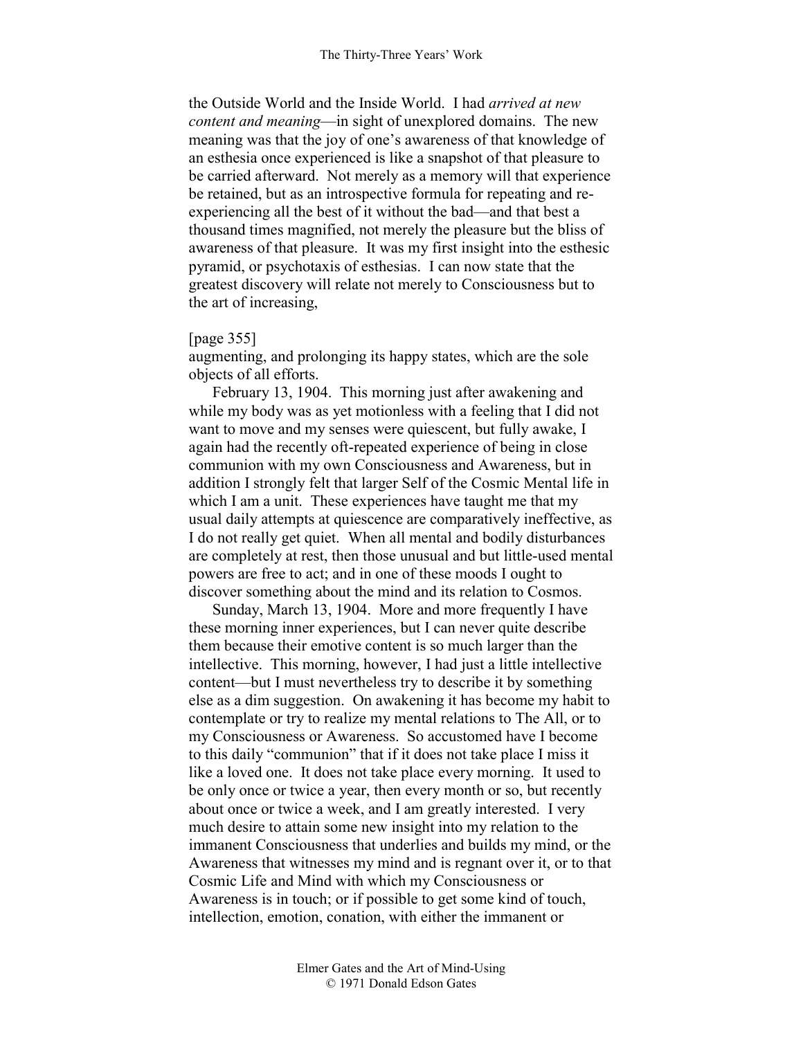the Outside World and the Inside World. I had *arrived at new content and meaning*—in sight of unexplored domains. The new meaning was that the joy of one's awareness of that knowledge of an esthesia once experienced is like a snapshot of that pleasure to be carried afterward. Not merely as a memory will that experience be retained, but as an introspective formula for repeating and reexperiencing all the best of it without the bad—and that best a thousand times magnified, not merely the pleasure but the bliss of awareness of that pleasure. It was my first insight into the esthesic pyramid, or psychotaxis of esthesias. I can now state that the greatest discovery will relate not merely to Consciousness but to the art of increasing,

### [page 355]

augmenting, and prolonging its happy states, which are the sole objects of all efforts.

February 13, 1904. This morning just after awakening and while my body was as yet motionless with a feeling that I did not want to move and my senses were quiescent, but fully awake, I again had the recently oft-repeated experience of being in close communion with my own Consciousness and Awareness, but in addition I strongly felt that larger Self of the Cosmic Mental life in which I am a unit. These experiences have taught me that my usual daily attempts at quiescence are comparatively ineffective, as I do not really get quiet. When all mental and bodily disturbances are completely at rest, then those unusual and but little-used mental powers are free to act; and in one of these moods I ought to discover something about the mind and its relation to Cosmos.

Sunday, March 13, 1904. More and more frequently I have these morning inner experiences, but I can never quite describe them because their emotive content is so much larger than the intellective. This morning, however, I had just a little intellective content—but I must nevertheless try to describe it by something else as a dim suggestion. On awakening it has become my habit to contemplate or try to realize my mental relations to The All, or to my Consciousness or Awareness. So accustomed have I become to this daily "communion" that if it does not take place I miss it like a loved one. It does not take place every morning. It used to be only once or twice a year, then every month or so, but recently about once or twice a week, and I am greatly interested. I very much desire to attain some new insight into my relation to the immanent Consciousness that underlies and builds my mind, or the Awareness that witnesses my mind and is regnant over it, or to that Cosmic Life and Mind with which my Consciousness or Awareness is in touch; or if possible to get some kind of touch, intellection, emotion, conation, with either the immanent or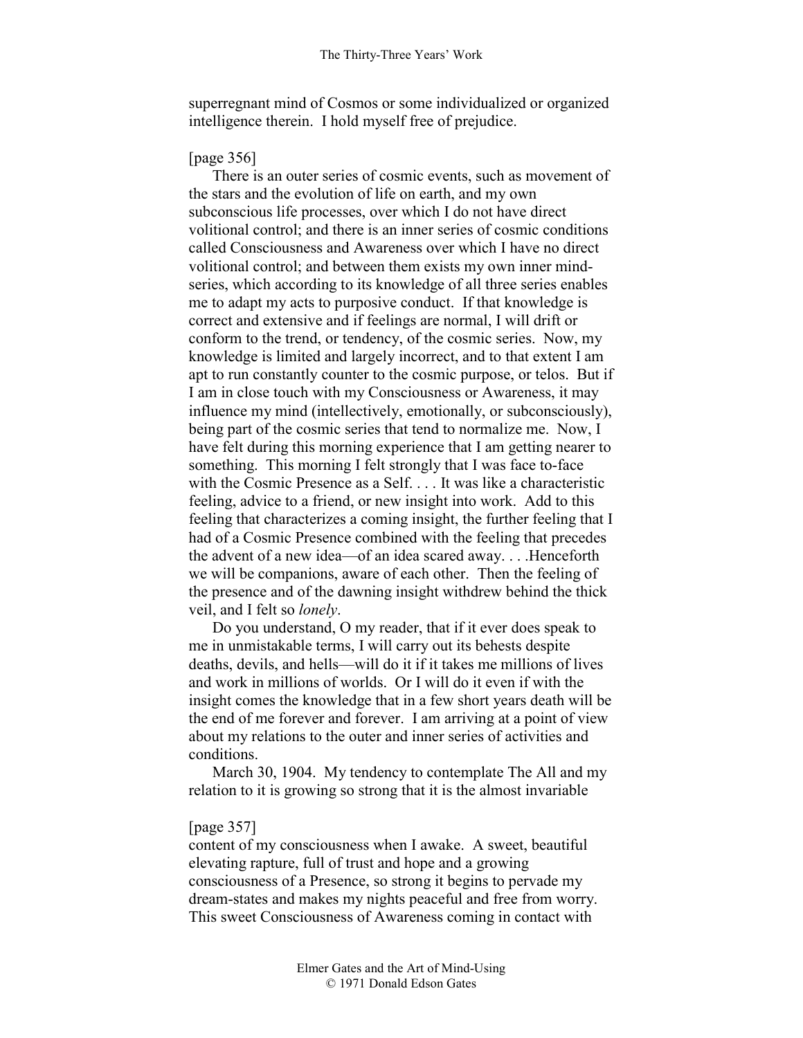superregnant mind of Cosmos or some individualized or organized intelligence therein. I hold myself free of prejudice.

# [page 356]

There is an outer series of cosmic events, such as movement of the stars and the evolution of life on earth, and my own subconscious life processes, over which I do not have direct volitional control; and there is an inner series of cosmic conditions called Consciousness and Awareness over which I have no direct volitional control; and between them exists my own inner mindseries, which according to its knowledge of all three series enables me to adapt my acts to purposive conduct. If that knowledge is correct and extensive and if feelings are normal, I will drift or conform to the trend, or tendency, of the cosmic series. Now, my knowledge is limited and largely incorrect, and to that extent I am apt to run constantly counter to the cosmic purpose, or telos. But if I am in close touch with my Consciousness or Awareness, it may influence my mind (intellectively, emotionally, or subconsciously), being part of the cosmic series that tend to normalize me. Now, I have felt during this morning experience that I am getting nearer to something. This morning I felt strongly that I was face to-face with the Cosmic Presence as a Self. . . . It was like a characteristic feeling, advice to a friend, or new insight into work. Add to this feeling that characterizes a coming insight, the further feeling that I had of a Cosmic Presence combined with the feeling that precedes the advent of a new idea—of an idea scared away. . . .Henceforth we will be companions, aware of each other. Then the feeling of the presence and of the dawning insight withdrew behind the thick veil, and I felt so *lonely*.

Do you understand, O my reader, that if it ever does speak to me in unmistakable terms, I will carry out its behests despite deaths, devils, and hells—will do it if it takes me millions of lives and work in millions of worlds. Or I will do it even if with the insight comes the knowledge that in a few short years death will be the end of me forever and forever. I am arriving at a point of view about my relations to the outer and inner series of activities and conditions.

March 30, 1904. My tendency to contemplate The All and my relation to it is growing so strong that it is the almost invariable

# [page 357]

content of my consciousness when I awake. A sweet, beautiful elevating rapture, full of trust and hope and a growing consciousness of a Presence, so strong it begins to pervade my dream-states and makes my nights peaceful and free from worry. This sweet Consciousness of Awareness coming in contact with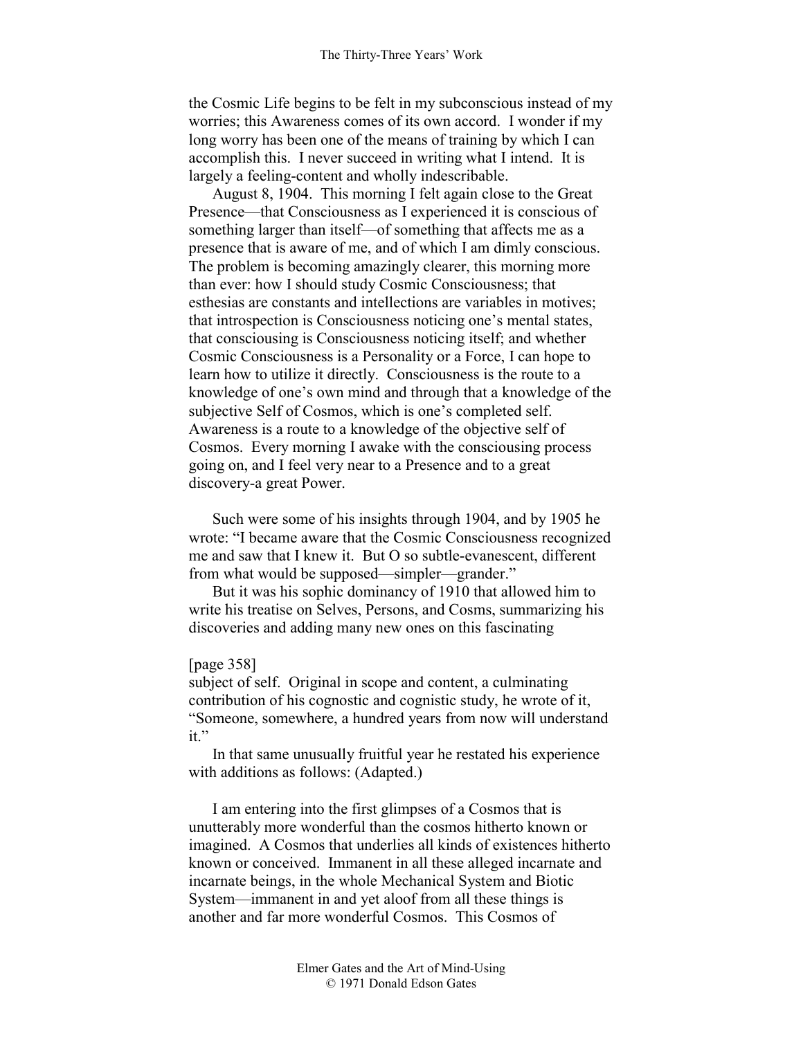the Cosmic Life begins to be felt in my subconscious instead of my worries; this Awareness comes of its own accord. I wonder if my long worry has been one of the means of training by which I can accomplish this. I never succeed in writing what I intend. It is largely a feeling-content and wholly indescribable.

August 8, 1904. This morning I felt again close to the Great Presence—that Consciousness as I experienced it is conscious of something larger than itself—of something that affects me as a presence that is aware of me, and of which I am dimly conscious. The problem is becoming amazingly clearer, this morning more than ever: how I should study Cosmic Consciousness; that esthesias are constants and intellections are variables in motives; that introspection is Consciousness noticing one's mental states, that consciousing is Consciousness noticing itself; and whether Cosmic Consciousness is a Personality or a Force, I can hope to learn how to utilize it directly. Consciousness is the route to a knowledge of one's own mind and through that a knowledge of the subjective Self of Cosmos, which is one's completed self. Awareness is a route to a knowledge of the objective self of Cosmos. Every morning I awake with the consciousing process going on, and I feel very near to a Presence and to a great discovery-a great Power.

Such were some of his insights through 1904, and by 1905 he wrote: "I became aware that the Cosmic Consciousness recognized me and saw that I knew it. But O so subtle-evanescent, different from what would be supposed—simpler—grander."

But it was his sophic dominancy of 1910 that allowed him to write his treatise on Selves, Persons, and Cosms, summarizing his discoveries and adding many new ones on this fascinating

#### [page 358]

subject of self. Original in scope and content, a culminating contribution of his cognostic and cognistic study, he wrote of it, "Someone, somewhere, a hundred years from now will understand it."

In that same unusually fruitful year he restated his experience with additions as follows: (Adapted.)

I am entering into the first glimpses of a Cosmos that is unutterably more wonderful than the cosmos hitherto known or imagined. A Cosmos that underlies all kinds of existences hitherto known or conceived. Immanent in all these alleged incarnate and incarnate beings, in the whole Mechanical System and Biotic System—immanent in and yet aloof from all these things is another and far more wonderful Cosmos. This Cosmos of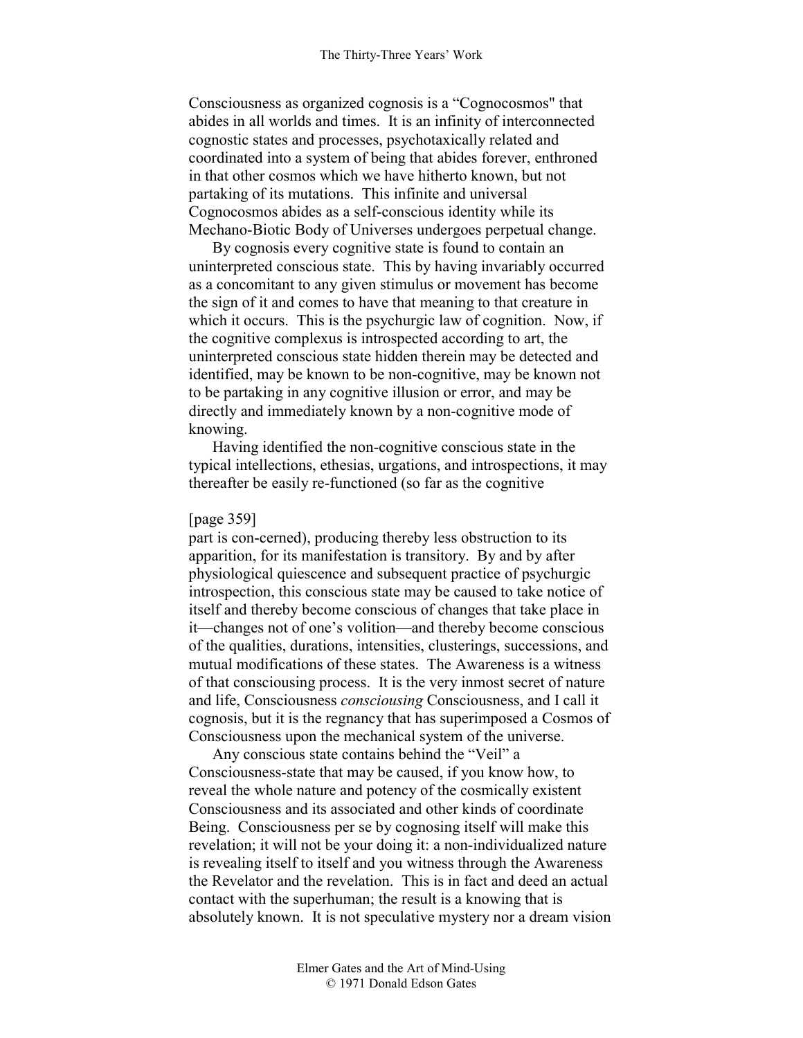Consciousness as organized cognosis is a "Cognocosmos" that abides in all worlds and times. It is an infinity of interconnected cognostic states and processes, psychotaxically related and coordinated into a system of being that abides forever, enthroned in that other cosmos which we have hitherto known, but not partaking of its mutations. This infinite and universal Cognocosmos abides as a self-conscious identity while its Mechano-Biotic Body of Universes undergoes perpetual change.

By cognosis every cognitive state is found to contain an uninterpreted conscious state. This by having invariably occurred as a concomitant to any given stimulus or movement has become the sign of it and comes to have that meaning to that creature in which it occurs. This is the psychurgic law of cognition. Now, if the cognitive complexus is introspected according to art, the uninterpreted conscious state hidden therein may be detected and identified, may be known to be non-cognitive, may be known not to be partaking in any cognitive illusion or error, and may be directly and immediately known by a non-cognitive mode of knowing.

Having identified the non-cognitive conscious state in the typical intellections, ethesias, urgations, and introspections, it may thereafter be easily re-functioned (so far as the cognitive

#### [page 359]

part is con-cerned), producing thereby less obstruction to its apparition, for its manifestation is transitory. By and by after physiological quiescence and subsequent practice of psychurgic introspection, this conscious state may be caused to take notice of itself and thereby become conscious of changes that take place in it—changes not of one's volition—and thereby become conscious of the qualities, durations, intensities, clusterings, successions, and mutual modifications of these states. The Awareness is a witness of that consciousing process. It is the very inmost secret of nature and life, Consciousness *consciousing* Consciousness, and I call it cognosis, but it is the regnancy that has superimposed a Cosmos of Consciousness upon the mechanical system of the universe.

Any conscious state contains behind the "Veil" a Consciousness-state that may be caused, if you know how, to reveal the whole nature and potency of the cosmically existent Consciousness and its associated and other kinds of coordinate Being. Consciousness per se by cognosing itself will make this revelation; it will not be your doing it: a non-individualized nature is revealing itself to itself and you witness through the Awareness the Revelator and the revelation. This is in fact and deed an actual contact with the superhuman; the result is a knowing that is absolutely known. It is not speculative mystery nor a dream vision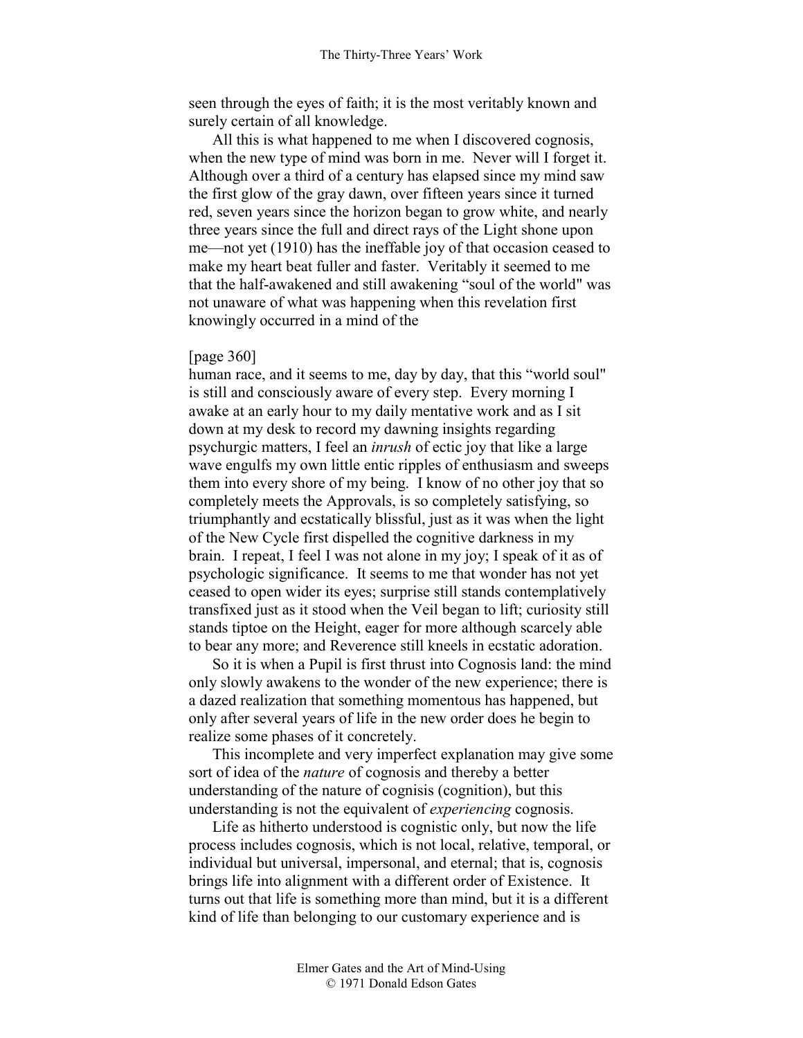seen through the eyes of faith; it is the most veritably known and surely certain of all knowledge.

All this is what happened to me when I discovered cognosis, when the new type of mind was born in me. Never will I forget it. Although over a third of a century has elapsed since my mind saw the first glow of the gray dawn, over fifteen years since it turned red, seven years since the horizon began to grow white, and nearly three years since the full and direct rays of the Light shone upon me—not yet (1910) has the ineffable joy of that occasion ceased to make my heart beat fuller and faster. Veritably it seemed to me that the half-awakened and still awakening "soul of the world" was not unaware of what was happening when this revelation first knowingly occurred in a mind of the

#### [page 360]

human race, and it seems to me, day by day, that this "world soul" is still and consciously aware of every step. Every morning I awake at an early hour to my daily mentative work and as I sit down at my desk to record my dawning insights regarding psychurgic matters, I feel an *inrush* of ectic joy that like a large wave engulfs my own little entic ripples of enthusiasm and sweeps them into every shore of my being. I know of no other joy that so completely meets the Approvals, is so completely satisfying, so triumphantly and ecstatically blissful, just as it was when the light of the New Cycle first dispelled the cognitive darkness in my brain. I repeat, I feel I was not alone in my joy; I speak of it as of psychologic significance. It seems to me that wonder has not yet ceased to open wider its eyes; surprise still stands contemplatively transfixed just as it stood when the Veil began to lift; curiosity still stands tiptoe on the Height, eager for more although scarcely able to bear any more; and Reverence still kneels in ecstatic adoration.

So it is when a Pupil is first thrust into Cognosis land: the mind only slowly awakens to the wonder of the new experience; there is a dazed realization that something momentous has happened, but only after several years of life in the new order does he begin to realize some phases of it concretely.

This incomplete and very imperfect explanation may give some sort of idea of the *nature* of cognosis and thereby a better understanding of the nature of cognisis (cognition), but this understanding is not the equivalent of *experiencing* cognosis.

Life as hitherto understood is cognistic only, but now the life process includes cognosis, which is not local, relative, temporal, or individual but universal, impersonal, and eternal; that is, cognosis brings life into alignment with a different order of Existence. It turns out that life is something more than mind, but it is a different kind of life than belonging to our customary experience and is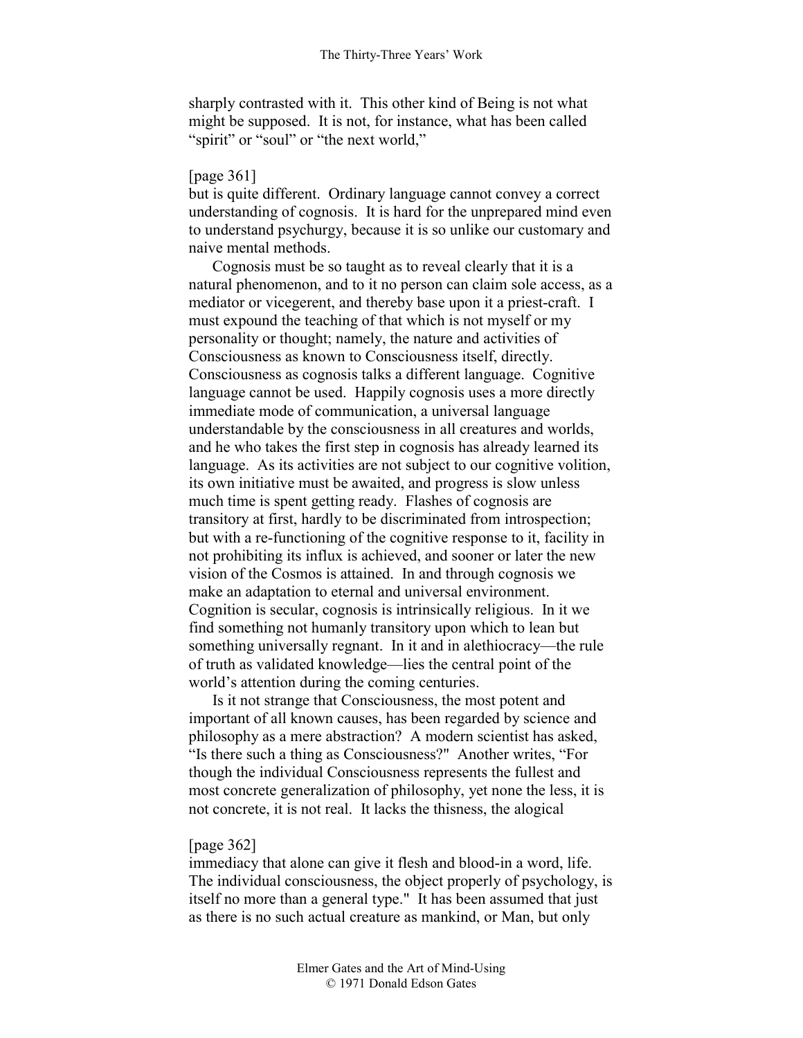sharply contrasted with it. This other kind of Being is not what might be supposed. It is not, for instance, what has been called "spirit" or "soul" or "the next world,"

### [page 361]

but is quite different. Ordinary language cannot convey a correct understanding of cognosis. It is hard for the unprepared mind even to understand psychurgy, because it is so unlike our customary and naive mental methods.

Cognosis must be so taught as to reveal clearly that it is a natural phenomenon, and to it no person can claim sole access, as a mediator or vicegerent, and thereby base upon it a priest-craft. I must expound the teaching of that which is not myself or my personality or thought; namely, the nature and activities of Consciousness as known to Consciousness itself, directly. Consciousness as cognosis talks a different language. Cognitive language cannot be used. Happily cognosis uses a more directly immediate mode of communication, a universal language understandable by the consciousness in all creatures and worlds, and he who takes the first step in cognosis has already learned its language. As its activities are not subject to our cognitive volition, its own initiative must be awaited, and progress is slow unless much time is spent getting ready. Flashes of cognosis are transitory at first, hardly to be discriminated from introspection; but with a re-functioning of the cognitive response to it, facility in not prohibiting its influx is achieved, and sooner or later the new vision of the Cosmos is attained. In and through cognosis we make an adaptation to eternal and universal environment. Cognition is secular, cognosis is intrinsically religious. In it we find something not humanly transitory upon which to lean but something universally regnant. In it and in alethiocracy—the rule of truth as validated knowledge—lies the central point of the world's attention during the coming centuries.

Is it not strange that Consciousness, the most potent and important of all known causes, has been regarded by science and philosophy as a mere abstraction? A modern scientist has asked, "Is there such a thing as Consciousness?" Another writes, "For though the individual Consciousness represents the fullest and most concrete generalization of philosophy, yet none the less, it is not concrete, it is not real. It lacks the thisness, the alogical

# [page 362]

immediacy that alone can give it flesh and blood-in a word, life. The individual consciousness, the object properly of psychology, is itself no more than a general type." It has been assumed that just as there is no such actual creature as mankind, or Man, but only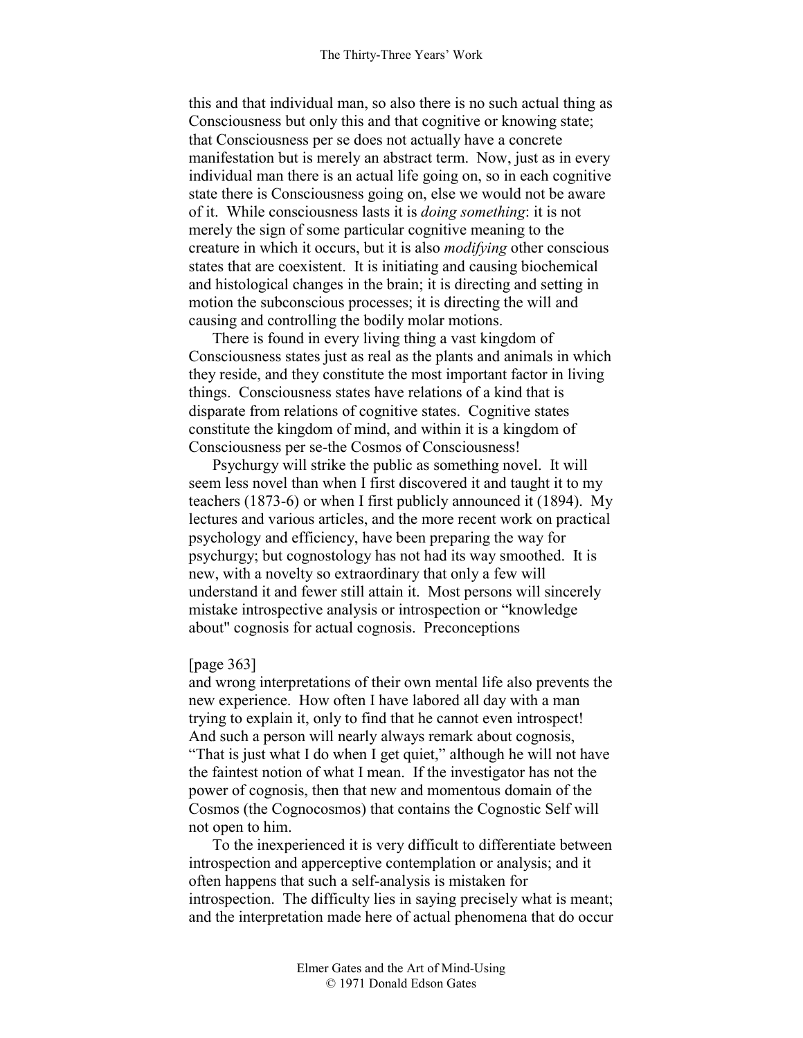this and that individual man, so also there is no such actual thing as Consciousness but only this and that cognitive or knowing state; that Consciousness per se does not actually have a concrete manifestation but is merely an abstract term. Now, just as in every individual man there is an actual life going on, so in each cognitive state there is Consciousness going on, else we would not be aware of it. While consciousness lasts it is *doing something*: it is not merely the sign of some particular cognitive meaning to the creature in which it occurs, but it is also *modifying* other conscious states that are coexistent. It is initiating and causing biochemical and histological changes in the brain; it is directing and setting in motion the subconscious processes; it is directing the will and causing and controlling the bodily molar motions.

There is found in every living thing a vast kingdom of Consciousness states just as real as the plants and animals in which they reside, and they constitute the most important factor in living things. Consciousness states have relations of a kind that is disparate from relations of cognitive states. Cognitive states constitute the kingdom of mind, and within it is a kingdom of Consciousness per se-the Cosmos of Consciousness!

Psychurgy will strike the public as something novel. It will seem less novel than when I first discovered it and taught it to my teachers (1873-6) or when I first publicly announced it (1894). My lectures and various articles, and the more recent work on practical psychology and efficiency, have been preparing the way for psychurgy; but cognostology has not had its way smoothed. It is new, with a novelty so extraordinary that only a few will understand it and fewer still attain it. Most persons will sincerely mistake introspective analysis or introspection or "knowledge about" cognosis for actual cognosis. Preconceptions

#### [page 363]

and wrong interpretations of their own mental life also prevents the new experience. How often I have labored all day with a man trying to explain it, only to find that he cannot even introspect! And such a person will nearly always remark about cognosis, "That is just what I do when I get quiet," although he will not have the faintest notion of what I mean. If the investigator has not the power of cognosis, then that new and momentous domain of the Cosmos (the Cognocosmos) that contains the Cognostic Self will not open to him.

To the inexperienced it is very difficult to differentiate between introspection and apperceptive contemplation or analysis; and it often happens that such a self-analysis is mistaken for introspection. The difficulty lies in saying precisely what is meant; and the interpretation made here of actual phenomena that do occur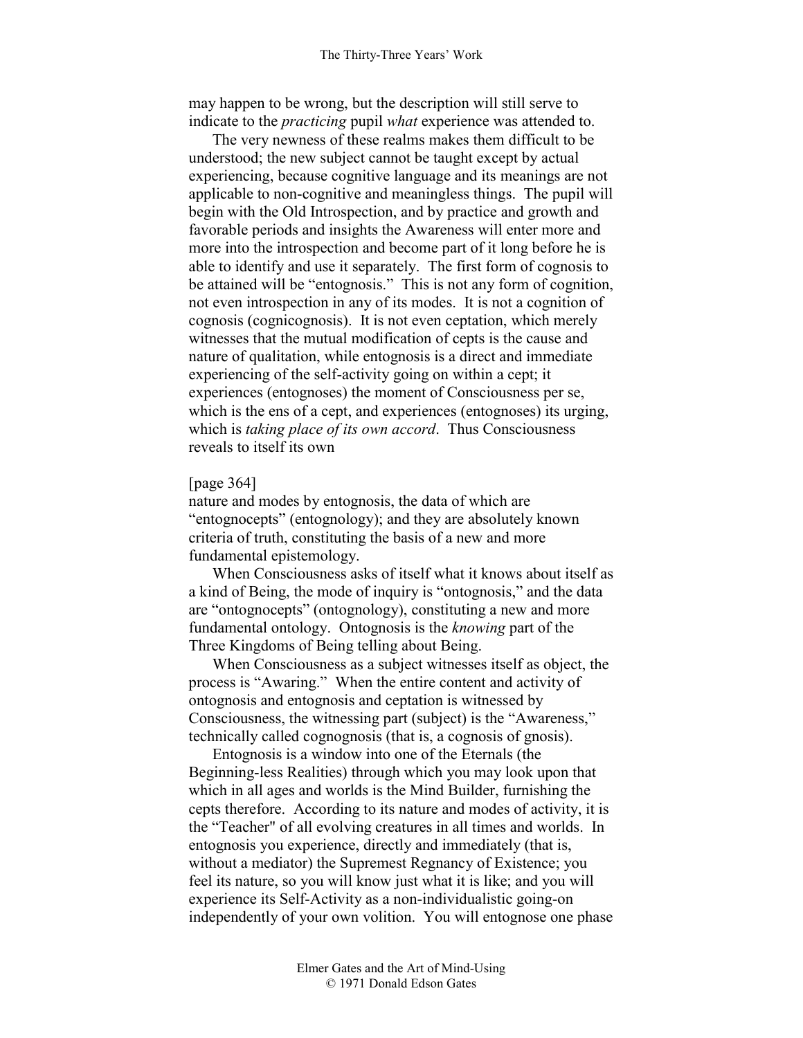may happen to be wrong, but the description will still serve to indicate to the *practicing* pupil *what* experience was attended to.

The very newness of these realms makes them difficult to be understood; the new subject cannot be taught except by actual experiencing, because cognitive language and its meanings are not applicable to non-cognitive and meaningless things. The pupil will begin with the Old Introspection, and by practice and growth and favorable periods and insights the Awareness will enter more and more into the introspection and become part of it long before he is able to identify and use it separately. The first form of cognosis to be attained will be "entognosis." This is not any form of cognition, not even introspection in any of its modes. It is not a cognition of cognosis (cognicognosis). It is not even ceptation, which merely witnesses that the mutual modification of cepts is the cause and nature of qualitation, while entognosis is a direct and immediate experiencing of the self-activity going on within a cept; it experiences (entognoses) the moment of Consciousness per se, which is the ens of a cept, and experiences (entognoses) its urging, which is *taking place of its own accord*. Thus Consciousness reveals to itself its own

# [page 364]

nature and modes by entognosis, the data of which are "entognocepts" (entognology); and they are absolutely known criteria of truth, constituting the basis of a new and more fundamental epistemology.

When Consciousness asks of itself what it knows about itself as a kind of Being, the mode of inquiry is "ontognosis," and the data are "ontognocepts" (ontognology), constituting a new and more fundamental ontology. Ontognosis is the *knowing* part of the Three Kingdoms of Being telling about Being.

When Consciousness as a subject witnesses itself as object, the process is "Awaring." When the entire content and activity of ontognosis and entognosis and ceptation is witnessed by Consciousness, the witnessing part (subject) is the "Awareness," technically called cognognosis (that is, a cognosis of gnosis).

Entognosis is a window into one of the Eternals (the Beginning-less Realities) through which you may look upon that which in all ages and worlds is the Mind Builder, furnishing the cepts therefore. According to its nature and modes of activity, it is the "Teacher" of all evolving creatures in all times and worlds. In entognosis you experience, directly and immediately (that is, without a mediator) the Supremest Regnancy of Existence; you feel its nature, so you will know just what it is like; and you will experience its Self-Activity as a non-individualistic going-on independently of your own volition. You will entognose one phase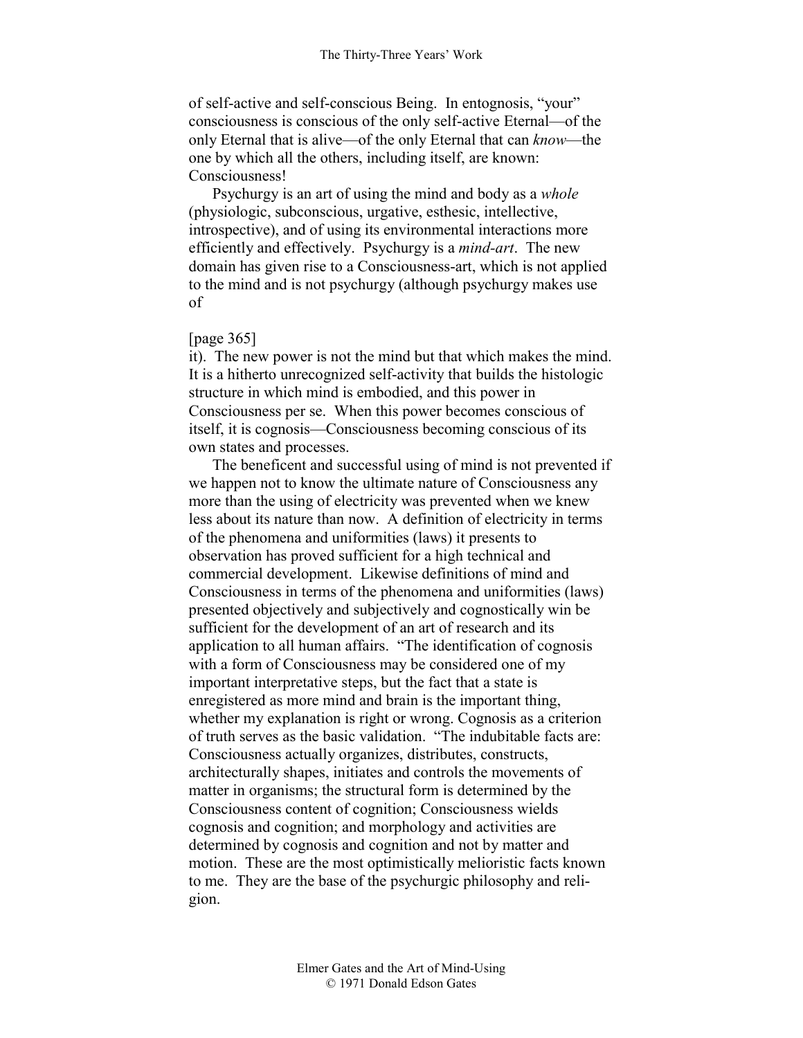of self-active and self-conscious Being. In entognosis, "your" consciousness is conscious of the only self-active Eternal—of the only Eternal that is alive—of the only Eternal that can *know*—the one by which all the others, including itself, are known: Consciousness!

Psychurgy is an art of using the mind and body as a *whole* (physiologic, subconscious, urgative, esthesic, intellective, introspective), and of using its environmental interactions more efficiently and effectively. Psychurgy is a *mind-art*. The new domain has given rise to a Consciousness-art, which is not applied to the mind and is not psychurgy (although psychurgy makes use of

## [page 365]

it). The new power is not the mind but that which makes the mind. It is a hitherto unrecognized self-activity that builds the histologic structure in which mind is embodied, and this power in Consciousness per se. When this power becomes conscious of itself, it is cognosis—Consciousness becoming conscious of its own states and processes.

The beneficent and successful using of mind is not prevented if we happen not to know the ultimate nature of Consciousness any more than the using of electricity was prevented when we knew less about its nature than now. A definition of electricity in terms of the phenomena and uniformities (laws) it presents to observation has proved sufficient for a high technical and commercial development. Likewise definitions of mind and Consciousness in terms of the phenomena and uniformities (laws) presented objectively and subjectively and cognostically win be sufficient for the development of an art of research and its application to all human affairs. "The identification of cognosis with a form of Consciousness may be considered one of my important interpretative steps, but the fact that a state is enregistered as more mind and brain is the important thing, whether my explanation is right or wrong. Cognosis as a criterion of truth serves as the basic validation. "The indubitable facts are: Consciousness actually organizes, distributes, constructs, architecturally shapes, initiates and controls the movements of matter in organisms; the structural form is determined by the Consciousness content of cognition; Consciousness wields cognosis and cognition; and morphology and activities are determined by cognosis and cognition and not by matter and motion. These are the most optimistically melioristic facts known to me. They are the base of the psychurgic philosophy and religion.